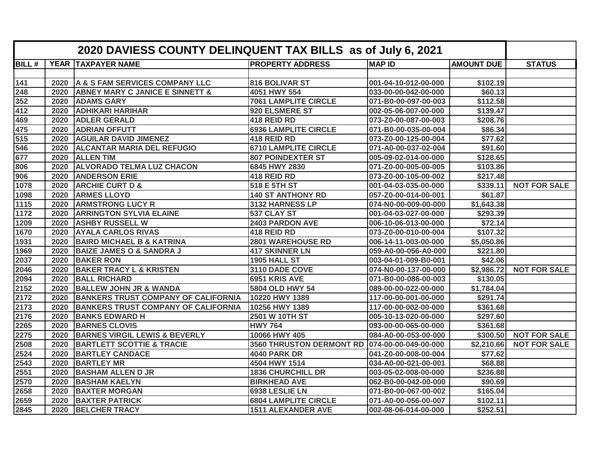|              | 2020 DAVIESS COUNTY DELINQUENT TAX BILLS as of July 6, 2021 |                                            |                                 |                      |                   |                     |
|--------------|-------------------------------------------------------------|--------------------------------------------|---------------------------------|----------------------|-------------------|---------------------|
| <b>BILL#</b> | <b>YEAR</b>                                                 | <b>TAXPAYER NAME</b>                       | <b>PROPERTY ADDRESS</b>         | <b>MAP ID</b>        | <b>AMOUNT DUE</b> | <b>STATUS</b>       |
|              |                                                             |                                            |                                 |                      |                   |                     |
| 141          | 2020                                                        | A & S FAM SERVICES COMPANY LLC             | 816 BOLIVAR ST                  | 001-04-10-012-00-000 | \$102.19          |                     |
| 248          | 2020                                                        | <b>ABNEY MARY C JANICE E SINNETT &amp;</b> | 4051 HWY 554                    | 033-00-00-042-00-000 | \$60.13           |                     |
| 352          | 2020                                                        | <b>ADAMS GARY</b>                          | <b>7061 LAMPLITE CIRCLE</b>     | 071-B0-00-097-00-003 | \$112.58          |                     |
| 412          | 2020                                                        | <b>ADHIKARI HARIHAR</b>                    | 920 ELSMERE ST                  | 002-05-06-007-00-000 | \$139.47          |                     |
| 469          | 2020                                                        | <b>ADLER GERALD</b>                        | 418 REID RD                     | 073-Z0-00-087-00-003 | \$208.76          |                     |
| 475          | 2020                                                        | <b>ADRIAN OFFUTT</b>                       | <b>6936 LAMPLITE CIRCLE</b>     | 071-B0-00-035-00-004 | \$86.34           |                     |
| 515          | 2020                                                        | <b>AGUILAR DAVID JIMENEZ</b>               | 418 REID RD                     | 073-Z0-00-125-00-004 | \$77.62           |                     |
| 546          | 2020                                                        | <b>ALCANTAR MARIA DEL REFUGIO</b>          | <b>6710 LAMPLITE CIRCLE</b>     | 071-A0-00-037-02-004 | \$91.60           |                     |
| 677          | 2020                                                        | <b>ALLEN TIM</b>                           | <b>807 POINDEXTER ST</b>        | 005-09-02-014-00-000 | \$128.65          |                     |
| 806          | 2020                                                        | <b>ALVORADO TELMA LUZ CHACON</b>           | 6845 HWY 2830                   | 071-Z0-00-005-00-005 | \$103.86          |                     |
| 906          | 2020                                                        | <b>ANDERSON ERIE</b>                       | 418 REID RD                     | 073-Z0-00-105-00-002 | \$217.48          |                     |
| 1078         | 2020                                                        | <b>ARCHIE CURT D &amp;</b>                 | 518 E 5TH ST                    | 001-04-03-035-00-000 | \$339.11          | <b>NOT FOR SALE</b> |
| 1098         | 2020                                                        | <b>ARMES LLOYD</b>                         | <b>140 ST ANTHONY RD</b>        | 057-Z0-00-014-00-001 | \$61.87           |                     |
| 1115         | 2020                                                        | <b>ARMSTRONG LUCY R</b>                    | 3132 HARNESS LP                 | 074-N0-00-009-00-000 | \$1,643.38        |                     |
| 1172         | 2020                                                        | <b>ARRINGTON SYLVIA ELAINE</b>             | 537 CLAY ST                     | 001-04-03-027-00-000 | \$293.39          |                     |
| 1209         | 2020                                                        | <b>ASHBY RUSSELL W</b>                     | 2403 PARDON AVE                 | 006-10-06-013-00-000 | \$72.14           |                     |
| 1670         | 2020                                                        | <b>AYALA CARLOS RIVAS</b>                  | 418 REID RD                     | 073-Z0-00-010-00-004 | \$107.32          |                     |
| 1931         | 2020                                                        | <b>BAIRD MICHAEL B &amp; KATRINA</b>       | <b>2801 WAREHOUSE RD</b>        | 006-14-11-003-00-000 | \$5,050.86        |                     |
| 1969         | 2020                                                        | <b>BAIZE JAMES O &amp; SANDRA J</b>        | <b>417 SKINNER LN</b>           | 059-A0-00-056-A0-000 | \$221.80          |                     |
| 2037         | 2020                                                        | <b>BAKER RON</b>                           | 1905 HALL ST                    | 003-04-01-009-B0-001 | \$42.06           |                     |
| 2046         | 2020                                                        | <b>BAKER TRACY L &amp; KRISTEN</b>         | 3110 DADE COVE                  | 074-N0-00-137-00-000 | \$2,986.72        | <b>NOT FOR SALE</b> |
| 2094         | 2020                                                        | <b>BALL RICHARD</b>                        | 6951 KRIS AVE                   | 071-B0-00-086-00-003 | \$130.05          |                     |
| 2152         | 2020                                                        | <b>BALLEW JOHN JR &amp; WANDA</b>          | 5804 OLD HWY 54                 | 089-00-00-022-00-000 | \$1,784.04        |                     |
| 2172         | 2020                                                        | <b>BANKERS TRUST COMPANY OF CALIFORNIA</b> | 10220 HWY 1389                  | 117-00-00-001-00-000 | \$291.74          |                     |
| 2173         | 2020                                                        | <b>BANKERS TRUST COMPANY OF CALIFORNIA</b> | 10256 HWY 1389                  | 117-00-00-002-00-000 | \$361.68          |                     |
| 2176         | 2020                                                        | <b>BANKS EDWARD H</b>                      | 2501 W 10TH ST                  | 005-10-13-020-00-000 | \$297.60          |                     |
| 2265         | 2020                                                        | <b>BARNES CLOVIS</b>                       | <b>HWY 764</b>                  | 093-00-00-065-00-000 | \$361.68          |                     |
| 2275         | 2020                                                        | <b>BARNES VIRGIL LEWIS &amp; BEVERLY</b>   | 10066 HWY 405                   | 084-A0-00-053-00-000 | \$300.50          | <b>NOT FOR SALE</b> |
| 2508         | 2020                                                        | <b>BARTLETT SCOTTIE &amp; TRACIE</b>       | <b>3560 THRUSTON DERMONT RD</b> | 074-00-00-049-00-000 | \$2,210.66        | <b>NOT FOR SALE</b> |
| 2524         | 2020                                                        | <b>BARTLEY CANDACE</b>                     | 4040 PARK DR                    | 041-Z0-00-008-00-004 | \$77.62           |                     |
| 2543         | 2020                                                        | <b>BARTLEY MR</b>                          | 4504 HWY 1514                   | 034-A0-00-021-00-001 | \$68.88           |                     |
| 2551         | 2020                                                        | <b>BASHAM ALLEN D JR</b>                   | <b>1836 CHURCHILL DR</b>        | 003-05-02-008-00-000 | \$236.88          |                     |
| 2570         | 2020                                                        | <b>BASHAM KAELYN</b>                       | <b>BIRKHEAD AVE</b>             | 062-B0-00-042-00-000 | \$90.69           |                     |
| 2658         | 2020                                                        | <b>BAXTER MORGAN</b>                       | 6938 LESLIE LN                  | 071-B0-00-067-00-002 | \$165.04          |                     |
| 2659         | 2020                                                        | <b>BAXTER PATRICK</b>                      | <b>6804 LAMPLITE CIRCLE</b>     | 071-A0-00-056-00-007 | \$102.11          |                     |
| 2845         | 2020                                                        | <b>BELCHER TRACY</b>                       | <b>1511 ALEXANDER AVE</b>       | 002-08-06-014-00-000 | \$252.51          |                     |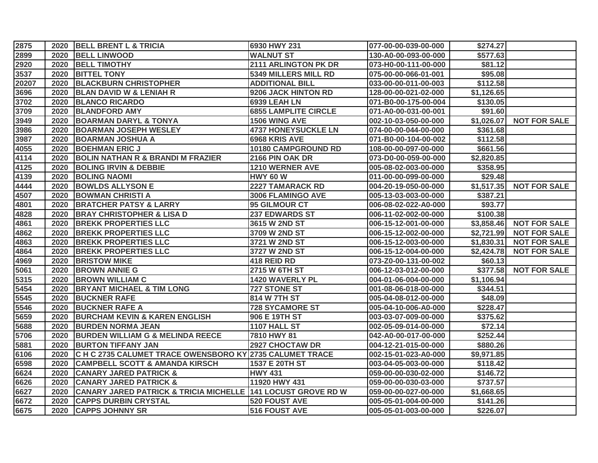| 2875  | 2020 | <b>BELL BRENT L &amp; TRICIA</b>                                        | 6930 HWY 231                | 077-00-00-039-00-000 | \$274.27   |                     |
|-------|------|-------------------------------------------------------------------------|-----------------------------|----------------------|------------|---------------------|
| 2899  | 2020 | <b>BELL LINWOOD</b>                                                     | <b>WALNUT ST</b>            | 130-A0-00-093-00-000 | \$577.63   |                     |
| 2920  | 2020 | <b>BELL TIMOTHY</b>                                                     | 2111 ARLINGTON PK DR        | 073-H0-00-111-00-000 | \$81.12    |                     |
| 3537  | 2020 | <b>BITTEL TONY</b>                                                      | 5349 MILLERS MILL RD        | 075-00-00-066-01-001 | \$95.08    |                     |
| 20207 | 2020 | <b>BLACKBURN CHRISTOPHER</b>                                            | <b>ADDITIONAL BILL</b>      | 033-00-00-011-00-003 | \$112.58   |                     |
| 3696  | 2020 | <b>BLAN DAVID W &amp; LENIAH R</b>                                      | 9206 JACK HINTON RD         | 128-00-00-021-02-000 | \$1,126.65 |                     |
| 3702  | 2020 | <b>BLANCO RICARDO</b>                                                   | <b>6939 LEAH LN</b>         | 071-B0-00-175-00-004 | \$130.05   |                     |
| 3709  | 2020 | <b>BLANDFORD AMY</b>                                                    | <b>6855 LAMPLITE CIRCLE</b> | 071-A0-00-031-00-001 | \$91.60    |                     |
| 3949  | 2020 | <b>BOARMAN DARYL &amp; TONYA</b>                                        | 1506 WING AVE               | 002-10-03-050-00-000 | \$1,026.07 | <b>NOT FOR SALE</b> |
| 3986  | 2020 | <b>BOARMAN JOSEPH WESLEY</b>                                            | <b>4737 HONEYSUCKLE LN</b>  | 074-00-00-044-00-000 | \$361.68   |                     |
| 3987  | 2020 | <b>BOARMAN JOSHUA A</b>                                                 | 6968 KRIS AVE               | 071-B0-00-104-00-002 | \$112.58   |                     |
| 4055  | 2020 | <b>BOEHMAN ERIC J</b>                                                   | 10180 CAMPGROUND RD         | 108-00-00-097-00-000 | \$661.56   |                     |
| 4114  | 2020 | <b>BOLIN NATHAN R &amp; BRANDI M FRAZIER</b>                            | 2166 PIN OAK DR             | 073-D0-00-059-00-000 | \$2,820.85 |                     |
| 4125  | 2020 | <b>BOLING IRVIN &amp; DEBBIE</b>                                        | 1210 WERNER AVE             | 005-08-02-003-00-000 | \$358.95   |                     |
| 4139  | 2020 | <b>BOLING NAOMI</b>                                                     | <b>HWY 60 W</b>             | 011-00-00-099-00-000 | \$29.48    |                     |
| 4444  | 2020 | <b>BOWLDS ALLYSON E</b>                                                 | <b>2227 TAMARACK RD</b>     | 004-20-19-050-00-000 | \$1,517.35 | <b>NOT FOR SALE</b> |
| 4507  | 2020 | <b>BOWMAN CHRISTI A</b>                                                 | 3006 FLAMINGO AVE           | 005-13-03-003-00-000 | \$387.21   |                     |
| 4801  | 2020 | <b>BRATCHER PATSY &amp; LARRY</b>                                       | 95 GILMOUR CT               | 006-08-02-022-A0-000 | \$93.77    |                     |
| 4828  | 2020 | <b>BRAY CHRISTOPHER &amp; LISA D</b>                                    | <b>237 EDWARDS ST</b>       | 006-11-02-002-00-000 | \$100.38   |                     |
| 4861  | 2020 | <b>BREKK PROPERTIES LLC</b>                                             | 3615 W 2ND ST               | 006-15-12-001-00-000 | \$3,858.46 | <b>NOT FOR SALE</b> |
| 4862  | 2020 | <b>BREKK PROPERTIES LLC</b>                                             | 3709 W 2ND ST               | 006-15-12-002-00-000 | \$2,721.99 | <b>NOT FOR SALE</b> |
| 4863  | 2020 | <b>BREKK PROPERTIES LLC</b>                                             | 3721 W 2ND ST               | 006-15-12-003-00-000 | \$1,830.31 | <b>NOT FOR SALE</b> |
| 4864  | 2020 | <b>BREKK PROPERTIES LLC</b>                                             | 3727 W 2ND ST               | 006-15-12-004-00-000 | \$2,424.78 | <b>NOT FOR SALE</b> |
| 4969  | 2020 | <b>BRISTOW MIKE</b>                                                     | 418 REID RD                 | 073-Z0-00-131-00-002 | \$60.13    |                     |
| 5061  | 2020 | <b>BROWN ANNIE G</b>                                                    | 2715 W 6TH ST               | 006-12-03-012-00-000 | \$377.58   | <b>NOT FOR SALE</b> |
| 5315  | 2020 | <b>BROWN WILLIAM C</b>                                                  | 1420 WAVERLY PL             | 004-01-06-004-00-000 | \$1,106.94 |                     |
| 5454  | 2020 | <b>BRYANT MICHAEL &amp; TIM LONG</b>                                    | <b>727 STONE ST</b>         | 001-08-06-018-00-000 | \$344.51   |                     |
| 5545  | 2020 | <b>BUCKNER RAFE</b>                                                     | 814 W 7TH ST                | 005-04-08-012-00-000 | \$48.09    |                     |
| 5546  | 2020 | <b>BUCKNER RAFE A</b>                                                   | <b>728 SYCAMORE ST</b>      | 005-04-10-006-A0-000 | \$228.47   |                     |
| 5659  | 2020 | <b>BURCHAM KEVIN &amp; KAREN ENGLISH</b>                                | 906 E 19TH ST               | 003-03-07-009-00-000 | \$375.62   |                     |
| 5688  | 2020 | <b>BURDEN NORMA JEAN</b>                                                | 1107 HALL ST                | 002-05-09-014-00-000 | \$72.14    |                     |
| 5706  | 2020 | <b>BURDEN WILLIAM G &amp; MELINDA REECE</b>                             | 7810 HWY 81                 | 042-A0-00-017-00-000 | \$252.44   |                     |
| 5881  | 2020 | <b>BURTON TIFFANY JAN</b>                                               | <b>2927 CHOCTAW DR</b>      | 004-12-21-015-00-000 | \$880.26   |                     |
| 6106  | 2020 | C H C 2735 CALUMET TRACE OWENSBORO KY 2735 CALUMET TRACE                |                             | 002-15-01-023-A0-000 | \$9,971.85 |                     |
| 6598  | 2020 | <b>CAMPBELL SCOTT &amp; AMANDA KIRSCH</b>                               | 1537 E 20TH ST              | 003-04-05-003-00-000 | \$118.42   |                     |
| 6624  | 2020 | <b>CANARY JARED PATRICK &amp;</b>                                       | <b>HWY 431</b>              | 059-00-00-030-02-000 | \$146.72   |                     |
| 6626  | 2020 | <b>CANARY JARED PATRICK &amp;</b>                                       | 11920 HWY 431               | 059-00-00-030-03-000 | \$737.57   |                     |
| 6627  | 2020 | <b>CANARY JARED PATRICK &amp; TRICIA MICHELLE 141 LOCUST GROVE RD W</b> |                             | 059-00-00-027-00-000 | \$1,668.65 |                     |
| 6672  | 2020 | <b>CAPPS DURBIN CRYSTAL</b>                                             | 520 FOUST AVE               | 005-05-01-004-00-000 | \$141.26   |                     |
| 6675  | 2020 | <b>CAPPS JOHNNY SR</b>                                                  | <b>516 FOUST AVE</b>        | 005-05-01-003-00-000 | \$226.07   |                     |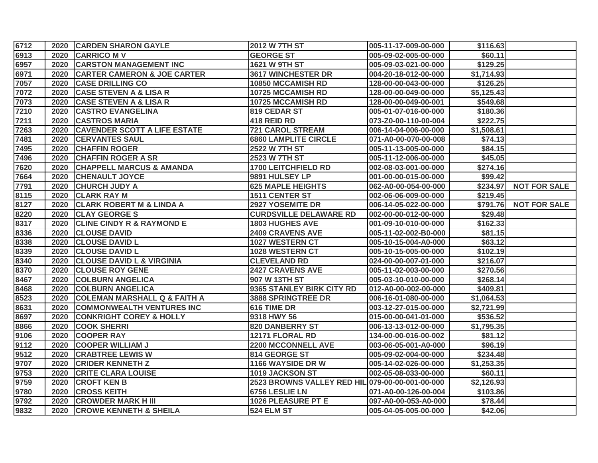| 6712 |      | 2020 CARDEN SHARON GAYLE                | <b>2012 W 7TH ST</b>                            | 005-11-17-009-00-000 | \$116.63   |                     |
|------|------|-----------------------------------------|-------------------------------------------------|----------------------|------------|---------------------|
| 6913 | 2020 | <b>CARRICO MV</b>                       | <b>GEORGE ST</b>                                | 005-09-02-005-00-000 | \$60.11    |                     |
| 6957 | 2020 | <b>CARSTON MANAGEMENT INC</b>           | 1621 W 9TH ST                                   | 005-09-03-021-00-000 | \$129.25   |                     |
| 6971 | 2020 | <b>CARTER CAMERON &amp; JOE CARTER</b>  | <b>3617 WINCHESTER DR</b>                       | 004-20-18-012-00-000 | \$1,714.93 |                     |
| 7057 | 2020 | <b>CASE DRILLING CO</b>                 | 10850 MCCAMISH RD                               | 128-00-00-043-00-000 | \$126.25   |                     |
| 7072 | 2020 | <b>CASE STEVEN A &amp; LISA R</b>       | 10725 MCCAMISH RD                               | 128-00-00-049-00-000 | \$5,125.43 |                     |
| 7073 | 2020 | <b>CASE STEVEN A &amp; LISA R</b>       | <b>10725 MCCAMISH RD</b>                        | 128-00-00-049-00-001 | \$549.68   |                     |
| 7210 | 2020 | <b>CASTRO EVANGELINA</b>                | 819 CEDAR ST                                    | 005-01-07-016-00-000 | \$180.36   |                     |
| 7211 | 2020 | <b>CASTROS MARIA</b>                    | 418 REID RD                                     | 073-Z0-00-110-00-004 | \$222.75   |                     |
| 7263 | 2020 | <b>CAVENDER SCOTT A LIFE ESTATE</b>     | <b>721 CAROL STREAM</b>                         | 006-14-04-006-00-000 | \$1,508.61 |                     |
| 7481 | 2020 | <b>CERVANTES SAUL</b>                   | <b>6860 LAMPLITE CIRCLE</b>                     | 071-A0-00-070-00-008 | \$74.13    |                     |
| 7495 | 2020 | <b>CHAFFIN ROGER</b>                    | 2522 W 7TH ST                                   | 005-11-13-005-00-000 | \$84.15    |                     |
| 7496 | 2020 | <b>CHAFFIN ROGER A SR</b>               | 2523 W 7TH ST                                   | 005-11-12-006-00-000 | \$45.05    |                     |
| 7620 | 2020 | <b>CHAPPELL MARCUS &amp; AMANDA</b>     | <b>1700 LEITCHFIELD RD</b>                      | 002-08-03-001-00-000 | \$274.16   |                     |
| 7664 | 2020 | <b>CHENAULT JOYCE</b>                   | 9891 HULSEY LP                                  | 001-00-00-015-00-000 | \$99.42    |                     |
| 7791 | 2020 | <b>CHURCH JUDY A</b>                    | <b>625 MAPLE HEIGHTS</b>                        | 062-A0-00-054-00-000 | \$234.97   | <b>NOT FOR SALE</b> |
| 8115 | 2020 | <b>CLARK RAY M</b>                      | 1511 CENTER ST                                  | 002-06-06-009-00-000 | \$219.45   |                     |
| 8127 | 2020 | <b>CLARK ROBERT M &amp; LINDA A</b>     | <b>2927 YOSEMITE DR</b>                         | 006-14-05-022-00-000 | \$791.76   | <b>NOT FOR SALE</b> |
| 8220 | 2020 | <b>CLAY GEORGE S</b>                    | <b>CURDSVILLE DELAWARE RD</b>                   | 002-00-00-012-00-000 | \$29.48    |                     |
| 8317 | 2020 | <b>CLINE CINDY R &amp; RAYMOND E</b>    | <b>1803 HUGHES AVE</b>                          | 001-09-10-010-00-000 | \$162.33   |                     |
| 8336 | 2020 | <b>CLOUSE DAVID</b>                     | <b>2409 CRAVENS AVE</b>                         | 005-11-02-002-B0-000 | \$81.15    |                     |
| 8338 | 2020 | <b>CLOUSE DAVID L</b>                   | <b>1027 WESTERN CT</b>                          | 005-10-15-004-A0-000 | \$63.12    |                     |
| 8339 | 2020 | <b>CLOUSE DAVID L</b>                   | 1028 WESTERN CT                                 | 005-10-15-005-00-000 | \$102.19   |                     |
| 8340 | 2020 | <b>CLOUSE DAVID L &amp; VIRGINIA</b>    | <b>CLEVELAND RD</b>                             | 024-00-00-007-01-000 | \$216.07   |                     |
| 8370 | 2020 | <b>CLOUSE ROY GENE</b>                  | <b>2427 CRAVENS AVE</b>                         | 005-11-02-003-00-000 | \$270.56   |                     |
| 8467 | 2020 | <b>COLBURN ANGELICA</b>                 | 907 W 13TH ST                                   | 005-03-10-010-00-000 | \$268.14   |                     |
| 8468 | 2020 | <b>COLBURN ANGELICA</b>                 | 9365 STANLEY BIRK CITY RD                       | 012-A0-00-002-00-000 | \$409.81   |                     |
| 8523 | 2020 | <b>COLEMAN MARSHALL Q &amp; FAITH A</b> | <b>3888 SPRINGTREE DR</b>                       | 006-16-01-080-00-000 | \$1,064.53 |                     |
| 8631 | 2020 | <b>COMMONWEALTH VENTURES INC</b>        | 616 TIME DR                                     | 003-12-27-015-00-000 | \$2,721.99 |                     |
| 8697 | 2020 | <b>CONKRIGHT COREY &amp; HOLLY</b>      | 9318 HWY 56                                     | 015-00-00-041-01-000 | \$536.52   |                     |
| 8866 | 2020 | <b>COOK SHERRI</b>                      | <b>820 DANBERRY ST</b>                          | 006-13-13-012-00-000 | \$1,795.35 |                     |
| 9106 | 2020 | <b>COOPER RAY</b>                       | 12171 FLORAL RD                                 | 134-00-00-016-00-002 | \$81.12    |                     |
| 9112 | 2020 | <b>COOPER WILLIAM J</b>                 | <b>2200 MCCONNELL AVE</b>                       | 003-06-05-001-A0-000 | \$96.19    |                     |
| 9512 | 2020 | <b>CRABTREE LEWIS W</b>                 | 814 GEORGE ST                                   | 005-09-02-004-00-000 | \$234.48   |                     |
| 9707 | 2020 | <b>CRIDER KENNETH Z</b>                 | 1166 WAYSIDE DR W                               | 005-14-02-026-00-000 | \$1,253.35 |                     |
| 9753 | 2020 | <b>CRITE CLARA LOUISE</b>               | 1019 JACKSON ST                                 | 002-05-08-033-00-000 | \$60.11    |                     |
| 9759 | 2020 | <b>CROFT KEN B</b>                      | 2523 BROWNS VALLEY RED HIL 079-00-00-001-00-000 |                      | \$2,126.93 |                     |
| 9780 | 2020 | <b>CROSS KEITH</b>                      | 6756 LESLIE LN                                  | 071-A0-00-126-00-004 | \$103.86   |                     |
| 9792 | 2020 | <b>CROWDER MARK H III</b>               | 1026 PLEASURE PT E                              | 097-A0-00-053-A0-000 | \$78.44    |                     |
| 9832 | 2020 | <b>CROWE KENNETH &amp; SHEILA</b>       | <b>524 ELM ST</b>                               | 005-04-05-005-00-000 | \$42.06    |                     |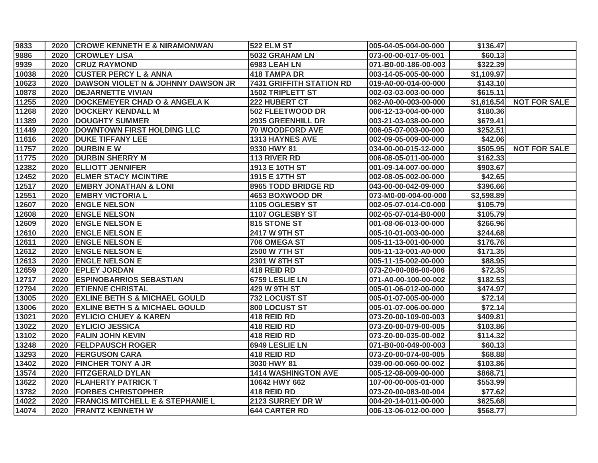| 9833  |      | 2020 CROWE KENNETH E & NIRAMONWAN           | <b>522 ELM ST</b>               | 005-04-05-004-00-000 | \$136.47   |                     |
|-------|------|---------------------------------------------|---------------------------------|----------------------|------------|---------------------|
| 9886  | 2020 | <b>CROWLEY LISA</b>                         | 5032 GRAHAM LN                  | 073-00-00-017-05-001 | \$60.13    |                     |
| 9939  | 2020 | <b>CRUZ RAYMOND</b>                         | 6983 LEAH LN                    | 071-B0-00-186-00-003 | \$322.39   |                     |
| 10038 | 2020 | <b>CUSTER PERCY L &amp; ANNA</b>            | <b>418 TAMPA DR</b>             | 003-14-05-005-00-000 | \$1,109.97 |                     |
| 10623 | 2020 | DAWSON VIOLET N & JOHNNY DAWSON JR          | <b>7431 GRIFFITH STATION RD</b> | 019-A0-00-014-00-000 | \$143.10   |                     |
| 10878 | 2020 | <b>DEJARNETTE VIVIAN</b>                    | <b>1502 TRIPLETT ST</b>         | 002-03-03-003-00-000 | \$615.11   |                     |
| 11255 | 2020 | <b>DOCKEMEYER CHAD O &amp; ANGELA K</b>     | 222 HUBERT CT                   | 062-A0-00-003-00-000 | \$1,616.54 | <b>NOT FOR SALE</b> |
| 11268 | 2020 | <b>DOCKERY KENDALL M</b>                    | 502 FLEETWOOD DR                | 006-12-13-004-00-000 | \$180.36   |                     |
| 11389 | 2020 | <b>DOUGHTY SUMMER</b>                       | 2935 GREENHILL DR               | 003-21-03-038-00-000 | \$679.41   |                     |
| 11449 | 2020 | DOWNTOWN FIRST HOLDING LLC                  | <b>70 WOODFORD AVE</b>          | 006-05-07-003-00-000 | \$252.51   |                     |
| 11616 | 2020 | <b>DUKE TIFFANY LEE</b>                     | 1313 HAYNES AVE                 | 002-09-05-009-00-000 | \$42.06    |                     |
| 11757 | 2020 | <b>DURBIN EW</b>                            | 9330 HWY 81                     | 034-00-00-015-12-000 | \$505.95   | <b>NOT FOR SALE</b> |
| 11775 | 2020 | <b>DURBIN SHERRY M</b>                      | 113 RIVER RD                    | 006-08-05-011-00-000 | \$162.33   |                     |
| 12382 | 2020 | <b>ELLIOTT JENNIFER</b>                     | 1913 E 10TH ST                  | 001-09-14-007-00-000 | \$903.67   |                     |
| 12452 | 2020 | <b>ELMER STACY MCINTIRE</b>                 | 1915 E 17TH ST                  | 002-08-05-002-00-000 | \$42.65    |                     |
| 12517 | 2020 | <b>EMBRY JONATHAN &amp; LONI</b>            | 8965 TODD BRIDGE RD             | 043-00-00-042-09-000 | \$396.66   |                     |
| 12551 | 2020 | <b>EMBRY VICTORIA L</b>                     | 4653 BOXWOOD DR                 | 073-M0-00-004-00-000 | \$3,598.89 |                     |
| 12607 | 2020 | <b>ENGLE NELSON</b>                         | 1105 OGLESBY ST                 | 002-05-07-014-C0-000 | \$105.79   |                     |
| 12608 | 2020 | <b>ENGLE NELSON</b>                         | 1107 OGLESBY ST                 | 002-05-07-014-B0-000 | \$105.79   |                     |
| 12609 | 2020 | <b>ENGLE NELSON E</b>                       | 815 STONE ST                    | 001-08-06-013-00-000 | \$266.96   |                     |
| 12610 | 2020 | <b>ENGLE NELSON E</b>                       | 2417 W 9TH ST                   | 005-10-01-003-00-000 | \$244.68   |                     |
| 12611 | 2020 | <b>ENGLE NELSON E</b>                       | 706 OMEGA ST                    | 005-11-13-001-00-000 | \$176.76   |                     |
| 12612 | 2020 | <b>ENGLE NELSON E</b>                       | 2500 W 7TH ST                   | 005-11-13-001-A0-000 | \$171.35   |                     |
| 12613 | 2020 | <b>ENGLE NELSON E</b>                       | 2301 W 8TH ST                   | 005-11-15-002-00-000 | \$88.95    |                     |
| 12659 | 2020 | <b>EPLEY JORDAN</b>                         | 418 REID RD                     | 073-Z0-00-086-00-006 | \$72.35    |                     |
| 12717 | 2020 | <b>ESPINOBARRIOS SEBASTIAN</b>              | 6759 LESLIE LN                  | 071-A0-00-100-00-002 | \$182.53   |                     |
| 12794 | 2020 | <b>ETIENNE CHRISTAL</b>                     | <b>429 W 9TH ST</b>             | 005-01-06-012-00-000 | \$474.97   |                     |
| 13005 | 2020 | <b>EXLINE BETH S &amp; MICHAEL GOULD</b>    | 732 LOCUST ST                   | 005-01-07-005-00-000 | \$72.14    |                     |
| 13006 | 2020 | <b>EXLINE BETH S &amp; MICHAEL GOULD</b>    | 800 LOCUST ST                   | 005-01-07-006-00-000 | \$72.14    |                     |
| 13021 | 2020 | <b>EYLICIO CHUEY &amp; KAREN</b>            | 418 REID RD                     | 073-Z0-00-109-00-003 | \$409.81   |                     |
| 13022 | 2020 | <b>EYLICIO JESSICA</b>                      | 418 REID RD                     | 073-Z0-00-079-00-005 | \$103.86   |                     |
| 13102 | 2020 | <b>FALIN JOHN KEVIN</b>                     | 418 REID RD                     | 073-Z0-00-035-00-002 | \$114.32   |                     |
| 13248 | 2020 | <b>FELDPAUSCH ROGER</b>                     | 6949 LESLIE LN                  | 071-B0-00-049-00-003 | \$60.13    |                     |
| 13293 | 2020 | <b>FERGUSON CARA</b>                        | 418 REID RD                     | 073-Z0-00-074-00-005 | \$68.88    |                     |
| 13402 | 2020 | <b>FINCHER TONY A JR</b>                    | 3030 HWY 81                     | 039-00-00-060-00-002 | \$103.86   |                     |
| 13574 | 2020 | <b>FITZGERALD DYLAN</b>                     | <b>1414 WASHINGTON AVE</b>      | 005-12-08-009-00-000 | \$868.71   |                     |
| 13622 | 2020 | <b>FLAHERTY PATRICK T</b>                   | 10642 HWY 662                   | 107-00-00-005-01-000 | \$553.99   |                     |
| 13782 | 2020 | <b>FORBES CHRISTOPHER</b>                   | 418 REID RD                     | 073-Z0-00-083-00-004 | \$77.62    |                     |
| 14022 | 2020 | <b>FRANCIS MITCHELL E &amp; STEPHANIE L</b> | 2123 SURREY DR W                | 004-20-14-011-00-000 | \$625.68   |                     |
| 14074 |      | 2020 FRANTZ KENNETH W                       | <b>644 CARTER RD</b>            | 006-13-06-012-00-000 | \$568.77   |                     |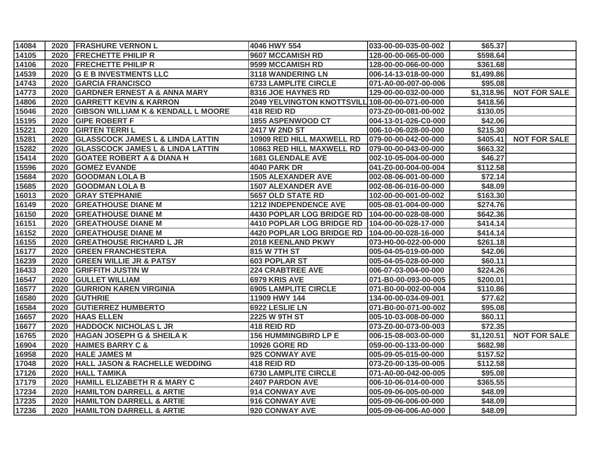| 14084 |      | 2020 FRASHURE VERNON L                        | 4046 HWY 554                                    | 033-00-00-035-00-002 | \$65.37    |                     |
|-------|------|-----------------------------------------------|-------------------------------------------------|----------------------|------------|---------------------|
| 14105 | 2020 | <b>FRECHETTE PHILIP R</b>                     | 9607 MCCAMISH RD                                | 128-00-00-065-00-000 | \$598.64   |                     |
| 14106 | 2020 | <b>FRECHETTE PHILIP R</b>                     | 9599 MCCAMISH RD                                | 128-00-00-066-00-000 | \$361.68   |                     |
| 14539 | 2020 | <b>G E B INVESTMENTS LLC</b>                  | 3118 WANDERING LN                               | 006-14-13-018-00-000 | \$1,499.86 |                     |
| 14743 | 2020 | <b>GARCIA FRANCISCO</b>                       | <b>6733 LAMPLITE CIRCLE</b>                     | 071-A0-00-007-00-006 | \$95.08    |                     |
| 14773 | 2020 | <b>GARDNER ERNEST A &amp; ANNA MARY</b>       | 8316 JOE HAYNES RD                              | 129-00-00-032-00-000 | \$1,318.96 | <b>NOT FOR SALE</b> |
| 14806 | 2020 | <b>GARRETT KEVIN &amp; KARRON</b>             | 2049 YELVINGTON KNOTTSVILL 108-00-00-071-00-000 |                      | \$418.56   |                     |
| 15046 | 2020 | <b>GIBSON WILLIAM K &amp; KENDALL L MOORE</b> | 418 REID RD                                     | 073-Z0-00-081-00-002 | \$130.05   |                     |
| 15195 | 2020 | <b>GIPE ROBERT F</b>                          | 1855 ASPENWOOD CT                               | 004-13-01-026-C0-000 | \$42.06    |                     |
| 15221 | 2020 | <b>GIRTEN TERRI L</b>                         | <b>2417 W 2ND ST</b>                            | 006-10-06-028-00-000 | \$215.30   |                     |
| 15281 | 2020 | <b>GLASSCOCK JAMES L &amp; LINDA LATTIN</b>   | 10909 RED HILL MAXWELL RD                       | 079-00-00-042-00-000 | \$405.41   | <b>NOT FOR SALE</b> |
| 15282 | 2020 | <b>GLASSCOCK JAMES L &amp; LINDA LATTIN</b>   | 10863 RED HILL MAXWELL RD                       | 079-00-00-043-00-000 | \$663.32   |                     |
| 15414 | 2020 | <b>GOATEE ROBERT A &amp; DIANA H</b>          | <b>1681 GLENDALE AVE</b>                        | 002-10-05-004-00-000 | \$46.27    |                     |
| 15596 | 2020 | <b>GOMEZ EVANDE</b>                           | 4040 PARK DR                                    | 041-Z0-00-004-00-004 | \$112.58   |                     |
| 15684 | 2020 | <b>GOODMAN LOLA B</b>                         | <b>1505 ALEXANDER AVE</b>                       | 002-08-06-001-00-000 | \$72.14    |                     |
| 15685 | 2020 | <b>GOODMAN LOLA B</b>                         | <b>1507 ALEXANDER AVE</b>                       | 002-08-06-016-00-000 | \$48.09    |                     |
| 16013 | 2020 | <b>GRAY STEPHANIE</b>                         | 5657 OLD STATE RD                               | 102-00-00-001-00-002 | \$163.30   |                     |
| 16149 | 2020 | <b>GREATHOUSE DIANE M</b>                     | <b>1212 INDEPENDENCE AVE</b>                    | 005-08-01-004-00-000 | \$274.76   |                     |
| 16150 | 2020 | <b>GREATHOUSE DIANE M</b>                     | 4430 POPLAR LOG BRIDGE RD 104-00-00-028-08-000  |                      | \$642.36   |                     |
| 16151 | 2020 | <b>GREATHOUSE DIANE M</b>                     | 4410 POPLAR LOG BRIDGE RD 104-00-00-028-17-000  |                      | \$414.14   |                     |
| 16152 | 2020 | <b>GREATHOUSE DIANE M</b>                     | 4420 POPLAR LOG BRIDGE RD                       | 104-00-00-028-16-000 | \$414.14   |                     |
| 16155 | 2020 | <b>GREATHOUSE RICHARD L JR</b>                | <b>2018 KEENLAND PKWY</b>                       | 073-H0-00-022-00-000 | \$261.18   |                     |
| 16177 | 2020 | <b>GREEN FRANCHESTERA</b>                     | 815 W 7TH ST                                    | 005-04-05-019-00-000 | \$42.06    |                     |
| 16239 | 2020 | <b>GREEN WILLIE JR &amp; PATSY</b>            | <b>603 POPLAR ST</b>                            | 005-04-05-028-00-000 | \$60.11    |                     |
| 16433 | 2020 | <b>GRIFFITH JUSTIN W</b>                      | <b>224 CRABTREE AVE</b>                         | 006-07-03-004-00-000 | \$224.26   |                     |
| 16547 | 2020 | <b>GULLET WILLIAM</b>                         | 6979 KRIS AVE                                   | 071-B0-00-093-00-005 | \$200.01   |                     |
| 16577 | 2020 | <b>GURRION KAREN VIRGINIA</b>                 | <b>6905 LAMPLITE CIRCLE</b>                     | 071-B0-00-002-00-004 | \$110.86   |                     |
| 16580 | 2020 | <b>GUTHRIE</b>                                | 11909 HWY 144                                   | 134-00-00-034-09-001 | \$77.62    |                     |
| 16584 | 2020 | <b>GUTIERREZ HUMBERTO</b>                     | 6922 LESLIE LN                                  | 071-B0-00-071-00-002 | \$95.08    |                     |
| 16657 | 2020 | <b>HAAS ELLEN</b>                             | 2225 W 9TH ST                                   | 005-10-03-008-00-000 | \$60.11    |                     |
| 16677 | 2020 | <b>HADDOCK NICHOLAS L JR</b>                  | 418 REID RD                                     | 073-Z0-00-073-00-003 | \$72.35    |                     |
| 16765 | 2020 | <b>HAGAN JOSEPH G &amp; SHEILA K</b>          | <b>156 HUMMINGBIRD LP E</b>                     | 006-15-08-003-00-000 | \$1,120.51 | <b>NOT FOR SALE</b> |
| 16904 | 2020 | <b>HAIMES BARRY C &amp;</b>                   | <b>10926 GORE RD</b>                            | 059-00-00-133-00-000 | \$682.98   |                     |
| 16958 | 2020 | <b>HALE JAMES M</b>                           | 925 CONWAY AVE                                  | 005-09-05-015-00-000 | \$157.52   |                     |
| 17048 | 2020 | <b>HALL JASON &amp; RACHELLE WEDDING</b>      | 418 REID RD                                     | 073-Z0-00-135-00-005 | \$112.58   |                     |
| 17126 | 2020 | <b>HALL TAMIKA</b>                            | <b>6730 LAMPLITE CIRCLE</b>                     | 071-A0-00-042-00-005 | \$95.08    |                     |
| 17179 | 2020 | <b>HAMILL ELIZABETH R &amp; MARY C</b>        | 2407 PARDON AVE                                 | 006-10-06-014-00-000 | \$365.55   |                     |
| 17234 | 2020 | <b>HAMILTON DARRELL &amp; ARTIE</b>           | 914 CONWAY AVE                                  | 005-09-06-005-00-000 | \$48.09    |                     |
| 17235 | 2020 | <b>HAMILTON DARRELL &amp; ARTIE</b>           | 916 CONWAY AVE                                  | 005-09-06-006-00-000 | \$48.09    |                     |
| 17236 |      | 2020 HAMILTON DARRELL & ARTIE                 | 920 CONWAY AVE                                  | 005-09-06-006-A0-000 | \$48.09    |                     |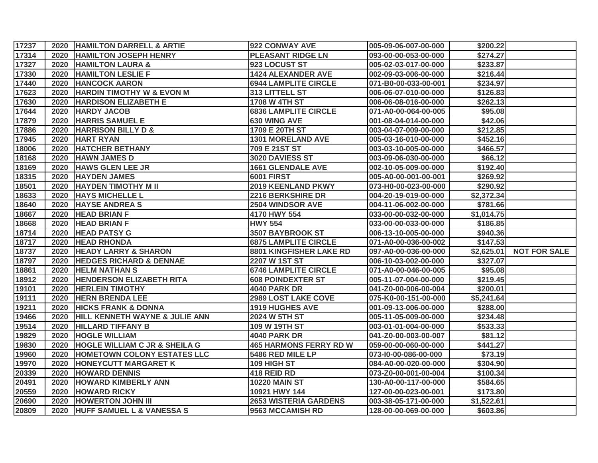| 17237 |      | 2020 HAMILTON DARRELL & ARTIE             | 922 CONWAY AVE                | 005-09-06-007-00-000 | \$200.22   |                     |
|-------|------|-------------------------------------------|-------------------------------|----------------------|------------|---------------------|
| 17314 |      | 2020 HAMILTON JOSEPH HENRY                | <b>PLEASANT RIDGE LN</b>      | 093-00-00-053-00-000 | \$274.27   |                     |
| 17327 | 2020 | <b>HAMILTON LAURA &amp;</b>               | 923 LOCUST ST                 | 005-02-03-017-00-000 | \$233.87   |                     |
| 17330 | 2020 | <b>HAMILTON LESLIE F</b>                  | <b>1424 ALEXANDER AVE</b>     | 002-09-03-006-00-000 | \$216.44   |                     |
| 17440 | 2020 | <b>HANCOCK AARON</b>                      | <b>6944 LAMPLITE CIRCLE</b>   | 071-B0-00-033-00-001 | \$234.97   |                     |
| 17623 | 2020 | <b>HARDIN TIMOTHY W &amp; EVON M</b>      | 313 LITTELL ST                | 006-06-07-010-00-000 | \$126.83   |                     |
| 17630 | 2020 | <b>HARDISON ELIZABETH E</b>               | <b>1708 W 4TH ST</b>          | 006-06-08-016-00-000 | \$262.13   |                     |
| 17644 | 2020 | <b>HARDY JACOB</b>                        | <b>6836 LAMPLITE CIRCLE</b>   | 071-A0-00-064-00-005 | \$95.08    |                     |
| 17879 | 2020 | <b>HARRIS SAMUEL E</b>                    | <b>630 WING AVE</b>           | 001-08-04-014-00-000 | \$42.06    |                     |
| 17886 | 2020 | <b>HARRISON BILLY D &amp;</b>             | 1709 E 20TH ST                | 003-04-07-009-00-000 | \$212.85   |                     |
| 17945 | 2020 | <b>HART RYAN</b>                          | <b>1301 MORELAND AVE</b>      | 005-03-16-010-00-000 | \$452.16   |                     |
| 18006 | 2020 | <b>HATCHER BETHANY</b>                    | 709 E 21ST ST                 | 003-03-10-005-00-000 | \$466.57   |                     |
| 18168 | 2020 | <b>HAWN JAMES D</b>                       | 3020 DAVIESS ST               | 003-09-06-030-00-000 | \$66.12    |                     |
| 18169 | 2020 | <b>HAWS GLEN LEE JR</b>                   | <b>1661 GLENDALE AVE</b>      | 002-10-05-009-00-000 | \$192.40   |                     |
| 18315 | 2020 | <b>HAYDEN JAMES</b>                       | <b>6001 FIRST</b>             | 005-A0-00-001-00-001 | \$269.92   |                     |
| 18501 | 2020 | <b>HAYDEN TIMOTHY M II</b>                | <b>2019 KEENLAND PKWY</b>     | 073-H0-00-023-00-000 | \$290.92   |                     |
| 18633 | 2020 | <b>HAYS MICHELLE L</b>                    | 2216 BERKSHIRE DR             | 004-20-19-019-00-000 | \$2,372.34 |                     |
| 18640 | 2020 | <b>HAYSE ANDREAS</b>                      | 2504 WINDSOR AVE              | 004-11-06-002-00-000 | \$781.66   |                     |
| 18667 | 2020 | <b>HEAD BRIAN F</b>                       | 4170 HWY 554                  | 033-00-00-032-00-000 | \$1,014.75 |                     |
| 18668 | 2020 | <b>HEAD BRIAN F</b>                       | <b>HWY 554</b>                | 033-00-00-033-00-000 | \$186.85   |                     |
| 18714 | 2020 | <b>HEAD PATSY G</b>                       | 3507 BAYBROOK ST              | 006-13-10-005-00-000 | \$940.36   |                     |
| 18717 | 2020 | <b>HEAD RHONDA</b>                        | <b>6875 LAMPLITE CIRCLE</b>   | 071-A0-00-036-00-002 | \$147.53   |                     |
| 18737 | 2020 | <b>HEADY LARRY &amp; SHARON</b>           | 8801 KINGFISHER LAKE RD       | 097-A0-00-036-00-000 | \$2,625.01 | <b>NOT FOR SALE</b> |
| 18797 | 2020 | <b>HEDGES RICHARD &amp; DENNAE</b>        | 2207 W 1ST ST                 | 006-10-03-002-00-000 | \$327.07   |                     |
| 18861 | 2020 | <b>HELM NATHAN S</b>                      | <b>6746 LAMPLITE CIRCLE</b>   | 071-A0-00-046-00-005 | \$95.08    |                     |
| 18912 | 2020 | <b>HENDERSON ELIZABETH RITA</b>           | <b>608 POINDEXTER ST</b>      | 005-11-07-004-00-000 | \$219.45   |                     |
| 19101 | 2020 | <b>HERLEIN TIMOTHY</b>                    | <b>4040 PARK DR</b>           | 041-Z0-00-006-00-004 | \$200.01   |                     |
| 19111 | 2020 | <b>HERN BRENDA LEE</b>                    | <b>2989 LOST LAKE COVE</b>    | 075-K0-00-151-00-000 | \$5,241.64 |                     |
| 19211 | 2020 | <b>HICKS FRANK &amp; DONNA</b>            | <b>1919 HUGHES AVE</b>        | 001-09-13-006-00-000 | \$288.00   |                     |
| 19466 | 2020 | <b>HILL KENNETH WAYNE &amp; JULIE ANN</b> | <b>2024 W 5TH ST</b>          | 005-11-05-009-00-000 | \$234.48   |                     |
| 19514 | 2020 | <b>HILLARD TIFFANY B</b>                  | 109 W 19TH ST                 | 003-01-01-004-00-000 | \$533.33   |                     |
| 19829 | 2020 | <b>HOGLE WILLIAM</b>                      | <b>4040 PARK DR</b>           | 041-Z0-00-003-00-007 | \$81.12    |                     |
| 19830 |      | 2020 HOGLE WILLIAM C JR & SHEILA G        | <b>465 HARMONS FERRY RD W</b> | 059-00-00-060-00-000 | \$441.27   |                     |
| 19960 | 2020 | <b>HOMETOWN COLONY ESTATES LLC</b>        | 5486 RED MILE LP              | 073-I0-00-086-00-000 | \$73.19    |                     |
| 19970 | 2020 | <b>HONEYCUTT MARGARET K</b>               | 109 HIGH ST                   | 084-A0-00-020-00-000 | \$304.90   |                     |
| 20339 | 2020 | <b>HOWARD DENNIS</b>                      | 418 REID RD                   | 073-Z0-00-001-00-004 | \$100.34   |                     |
| 20491 | 2020 | <b>HOWARD KIMBERLY ANN</b>                | <b>10220 MAIN ST</b>          | 130-A0-00-117-00-000 | \$584.65   |                     |
| 20559 | 2020 | <b>HOWARD RICKY</b>                       | 10921 HWY 144                 | 127-00-00-023-00-001 | \$173.80   |                     |
| 20690 | 2020 | <b>HOWERTON JOHN III</b>                  | <b>2653 WISTERIA GARDENS</b>  | 003-38-05-171-00-000 | \$1,522.61 |                     |
| 20809 |      | 2020 HUFF SAMUEL L & VANESSA S            | 9563 MCCAMISH RD              | 128-00-00-069-00-000 | \$603.86   |                     |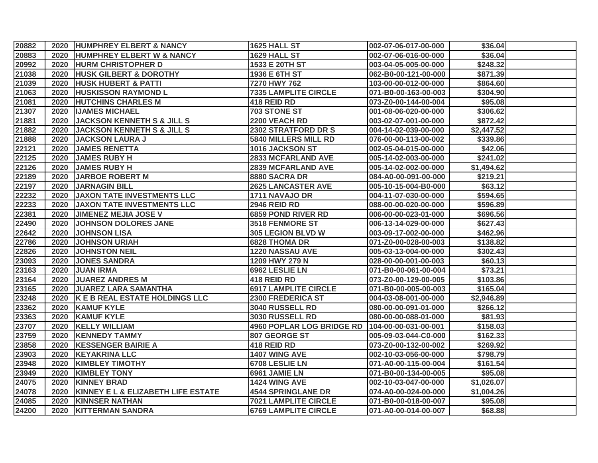| 20882 |      | 2020 HUMPHREY ELBERT & NANCY          | 1625 HALL ST                | 002-07-06-017-00-000 | \$36.04    |  |
|-------|------|---------------------------------------|-----------------------------|----------------------|------------|--|
| 20883 |      | 2020 HUMPHREY ELBERT W & NANCY        | 1629 HALL ST                | 002-07-06-016-00-000 | \$36.04    |  |
| 20992 |      | 2020 HURM CHRISTOPHER D               | 1533 E 20TH ST              | 003-04-05-005-00-000 | \$248.32   |  |
| 21038 | 2020 | <b>HUSK GILBERT &amp; DOROTHY</b>     | 1936 E 6TH ST               | 062-B0-00-121-00-000 | \$871.39   |  |
| 21039 | 2020 | <b>HUSK HUBERT &amp; PATTI</b>        | 7270 HWY 762                | 103-00-00-012-00-000 | \$864.60   |  |
| 21063 | 2020 | <b>HUSKISSON RAYMOND L</b>            | <b>7335 LAMPLITE CIRCLE</b> | 071-B0-00-163-00-003 | \$304.90   |  |
| 21081 | 2020 | <b>HUTCHINS CHARLES M</b>             | 418 REID RD                 | 073-Z0-00-144-00-004 | \$95.08    |  |
| 21307 | 2020 | <b>IJAMES MICHAEL</b>                 | 703 STONE ST                | 001-08-06-020-00-000 | \$306.62   |  |
| 21881 | 2020 | <b>JACKSON KENNETH S &amp; JILL S</b> | 2200 VEACH RD               | 003-02-07-001-00-000 | \$872.42   |  |
| 21882 | 2020 | <b>JACKSON KENNETH S &amp; JILL S</b> | <b>2302 STRATFORD DR S</b>  | 004-14-02-039-00-000 | \$2,447.52 |  |
| 21888 | 2020 | <b>JACKSON LAURA J</b>                | 5840 MILLERS MILL RD        | 076-00-00-113-00-002 | \$339.86   |  |
| 22121 | 2020 | <b>JAMES RENETTA</b>                  | 1016 JACKSON ST             | 002-05-04-015-00-000 | \$42.06    |  |
| 22125 | 2020 | <b>JAMES RUBY H</b>                   | <b>2833 MCFARLAND AVE</b>   | 005-14-02-003-00-000 | \$241.02   |  |
| 22126 | 2020 | <b>JAMES RUBY H</b>                   | <b>2839 MCFARLAND AVE</b>   | 005-14-02-002-00-000 | \$1,494.62 |  |
| 22189 | 2020 | <b>JARBOE ROBERT M</b>                | 8880 SACRA DR               | 084-A0-00-091-00-000 | \$219.21   |  |
| 22197 | 2020 | <b>JARNAGIN BILL</b>                  | <b>2625 LANCASTER AVE</b>   | 005-10-15-004-B0-000 | \$63.12    |  |
| 22232 |      | 2020 JAXON TATE INVESTMENTS LLC       | 1711 NAVAJO DR              | 004-11-07-030-00-000 | \$594.65   |  |
| 22233 | 2020 | <b>JAXON TATE INVESTMENTS LLC</b>     | <b>2946 REID RD</b>         | 088-00-00-020-00-000 | \$596.89   |  |
| 22381 | 2020 | <b>JIMENEZ MEJIA JOSE V</b>           | 6859 POND RIVER RD          | 006-00-00-023-01-000 | \$696.56   |  |
| 22490 | 2020 | <b>JOHNSON DOLORES JANE</b>           | <b>3518 FENMORE ST</b>      | 006-13-14-029-00-000 | \$627.43   |  |
| 22642 | 2020 | <b>JOHNSON LISA</b>                   | 305 LEGION BLVD W           | 003-09-17-002-00-000 | \$462.96   |  |
| 22786 | 2020 | <b>JOHNSON URIAH</b>                  | <b>6828 THOMA DR</b>        | 071-Z0-00-028-00-003 | \$138.82   |  |
| 22826 | 2020 | <b>JOHNSTON NEIL</b>                  | 1220 NASSAU AVE             | 005-03-13-004-00-000 | \$302.43   |  |
| 23093 | 2020 | <b>JONES SANDRA</b>                   | 1209 HWY 279 N              | 028-00-00-001-00-003 | \$60.13    |  |
| 23163 | 2020 | <b>JUAN IRMA</b>                      | 6962 LESLIE LN              | 071-B0-00-061-00-004 | \$73.21    |  |
| 23164 | 2020 | <b>JUAREZ ANDRES M</b>                | 418 REID RD                 | 073-Z0-00-129-00-005 | \$103.86   |  |
| 23165 | 2020 | <b>JUAREZ LARA SAMANTHA</b>           | <b>6917 LAMPLITE CIRCLE</b> | 071-B0-00-005-00-003 | \$165.04   |  |
| 23248 | 2020 | K E B REAL ESTATE HOLDINGS LLC        | 2300 FREDERICA ST           | 004-03-08-001-00-000 | \$2,946.89 |  |
| 23362 | 2020 | <b>KAMUF KYLE</b>                     | 3040 RUSSELL RD             | 080-00-00-091-01-000 | \$266.12   |  |
| 23363 | 2020 | <b>KAMUF KYLE</b>                     | 3030 RUSSELL RD             | 080-00-00-088-01-000 | \$81.93    |  |
| 23707 | 2020 | <b>KELLY WILLIAM</b>                  | 4960 POPLAR LOG BRIDGE RD   | 104-00-00-031-00-001 | \$158.03   |  |
| 23759 | 2020 | <b>KENNEDY TAMMY</b>                  | 807 GEORGE ST               | 005-09-03-044-C0-000 | \$162.33   |  |
| 23858 | 2020 | <b>KESSENGER BAIRIE A</b>             | 418 REID RD                 | 073-Z0-00-132-00-002 | \$269.92   |  |
| 23903 | 2020 | <b>KEYAKRINA LLC</b>                  | 1407 WING AVE               | 002-10-03-056-00-000 | \$798.79   |  |
| 23948 | 2020 | <b>KIMBLEY TIMOTHY</b>                | 6708 LESLIE LN              | 071-A0-00-115-00-004 | \$161.54   |  |
| 23949 | 2020 | <b>KIMBLEY TONY</b>                   | 6961 JAMIE LN               | 071-B0-00-134-00-005 | \$95.08    |  |
| 24075 | 2020 | <b>KINNEY BRAD</b>                    | 1424 WING AVE               | 002-10-03-047-00-000 | \$1,026.07 |  |
| 24078 | 2020 | KINNEY E L & ELIZABETH LIFE ESTATE    | <b>4544 SPRINGLANE DR</b>   | 074-A0-00-024-00-000 | \$1,004.26 |  |
| 24085 | 2020 | <b>KINNSER NATHAN</b>                 | <b>7021 LAMPLITE CIRCLE</b> | 071-B0-00-018-00-007 | \$95.08    |  |
| 24200 |      | 2020   KITTERMAN SANDRA               | <b>6769 LAMPLITE CIRCLE</b> | 071-A0-00-014-00-007 | \$68.88    |  |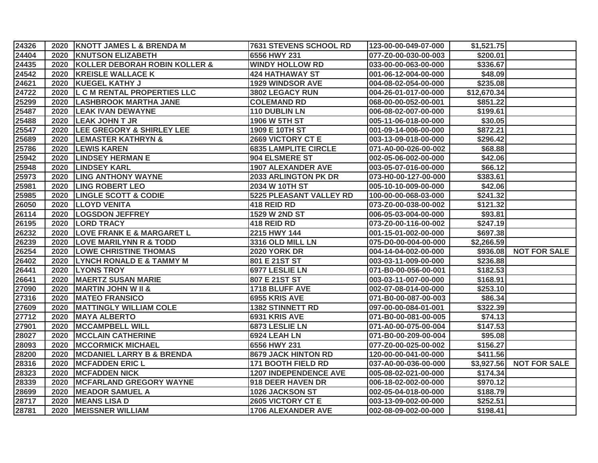| 24326 |      | 2020 KNOTT JAMES L & BRENDA M        | 7631 STEVENS SCHOOL RD       | 123-00-00-049-07-000 | \$1,521.75  |                     |
|-------|------|--------------------------------------|------------------------------|----------------------|-------------|---------------------|
| 24404 |      | 2020 KNUTSON ELIZABETH               | 6556 HWY 231                 | 077-Z0-00-030-00-003 | \$200.01    |                     |
| 24435 | 2020 | KOLLER DEBORAH ROBIN KOLLER &        | <b>WINDY HOLLOW RD</b>       | 033-00-00-063-00-000 | \$336.67    |                     |
| 24542 | 2020 | <b>KREISLE WALLACE K</b>             | <b>424 HATHAWAY ST</b>       | 001-06-12-004-00-000 | \$48.09     |                     |
| 24621 | 2020 | <b>KUEGEL KATHY J</b>                | 1929 WINDSOR AVE             | 004-08-02-054-00-000 | \$235.08    |                     |
| 24722 | 2020 | <b>L C M RENTAL PROPERTIES LLC</b>   | 3802 LEGACY RUN              | 004-26-01-017-00-000 | \$12,670.34 |                     |
| 25299 | 2020 | LASHBROOK MARTHA JANE                | <b>COLEMAND RD</b>           | 068-00-00-052-00-001 | \$851.22    |                     |
| 25487 | 2020 | <b>LEAK IVAN DEWAYNE</b>             | 110 DUBLIN LN                | 006-08-02-007-00-000 | \$199.61    |                     |
| 25488 | 2020 | <b>LEAK JOHN T JR</b>                | 1906 W 5TH ST                | 005-11-06-018-00-000 | \$30.05     |                     |
| 25547 | 2020 | <b>LEE GREGORY &amp; SHIRLEY LEE</b> | 1909 E 10TH ST               | 001-09-14-006-00-000 | \$872.21    |                     |
| 25689 | 2020 | <b>LEMASTER KATHRYN &amp;</b>        | 2669 VICTORY CT E            | 003-13-09-018-00-000 | \$296.42    |                     |
| 25786 | 2020 | <b>LEWIS KAREN</b>                   | <b>6835 LAMPLITE CIRCLE</b>  | 071-A0-00-026-00-002 | \$68.88     |                     |
| 25942 | 2020 | <b>LINDSEY HERMAN E</b>              | 904 ELSMERE ST               | 002-05-06-002-00-000 | \$42.06     |                     |
| 25948 | 2020 | <b>LINDSEY KARL</b>                  | <b>1907 ALEXANDER AVE</b>    | 003-05-07-016-00-000 | \$66.12     |                     |
| 25973 | 2020 | <b>LING ANTHONY WAYNE</b>            | 2033 ARLINGTON PK DR         | 073-H0-00-127-00-000 | \$383.61    |                     |
| 25981 | 2020 | <b>LING ROBERT LEO</b>               | 2034 W 10TH ST               | 005-10-10-009-00-000 | \$42.06     |                     |
| 25985 | 2020 | <b>LINGLE SCOTT &amp; CODIE</b>      | 5225 PLEASANT VALLEY RD      | 100-00-00-068-03-000 | \$241.32    |                     |
| 26050 | 2020 | <b>LLOYD VENITA</b>                  | 418 REID RD                  | 073-Z0-00-038-00-002 | \$121.32    |                     |
| 26114 | 2020 | <b>LOGSDON JEFFREY</b>               | <b>1529 W 2ND ST</b>         | 006-05-03-004-00-000 | \$93.81     |                     |
| 26195 | 2020 | <b>LORD TRACY</b>                    | 418 REID RD                  | 073-Z0-00-116-00-002 | \$247.19    |                     |
| 26232 | 2020 | <b>LOVE FRANK E &amp; MARGARET L</b> | 2215 HWY 144                 | 001-15-01-002-00-000 | \$697.38    |                     |
| 26239 | 2020 | <b>LOVE MARILYNN R &amp; TODD</b>    | 3316 OLD MILL LN             | 075-D0-00-004-00-000 | \$2,266.59  |                     |
| 26254 | 2020 | <b>LOWE CHRISTINE THOMAS</b>         | <b>2020 YORK DR</b>          | 004-14-04-002-00-000 | \$936.08    | <b>NOT FOR SALE</b> |
| 26402 | 2020 | <b>LYNCH RONALD E &amp; TAMMY M</b>  | 801 E 21ST ST                | 003-03-11-009-00-000 | \$236.88    |                     |
| 26441 | 2020 | <b>LYONS TROY</b>                    | 6977 LESLIE LN               | 071-B0-00-056-00-001 | \$182.53    |                     |
| 26641 | 2020 | <b>MAERTZ SUSAN MARIE</b>            | 807 E 21ST ST                | 003-03-11-007-00-000 | \$168.91    |                     |
| 27090 | 2020 | <b>MARTIN JOHN W II &amp;</b>        | 1718 BLUFF AVE               | 002-07-08-014-00-000 | \$253.10    |                     |
| 27316 | 2020 | <b>MATEO FRANSICO</b>                | 6955 KRIS AVE                | 071-B0-00-087-00-003 | \$86.34     |                     |
| 27609 | 2020 | <b>MATTINGLY WILLIAM COLE</b>        | <b>1382 STINNETT RD</b>      | 097-00-00-084-01-001 | \$322.39    |                     |
| 27712 | 2020 | <b>MAYA ALBERTO</b>                  | 6931 KRIS AVE                | 071-B0-00-081-00-005 | \$74.13     |                     |
| 27901 | 2020 | <b>MCCAMPBELL WILL</b>               | 6873 LESLIE LN               | 071-A0-00-075-00-004 | \$147.53    |                     |
| 28027 | 2020 | <b>MCCLAIN CATHERINE</b>             | 6924 LEAH LN                 | 071-B0-00-209-00-004 | \$95.08     |                     |
| 28093 |      | 2020 MCCORMICK MICHAEL               | 6556 HWY 231                 | 077-Z0-00-025-00-002 | \$156.27    |                     |
| 28200 | 2020 | <b>MCDANIEL LARRY B &amp; BRENDA</b> | 8679 JACK HINTON RD          | 120-00-00-041-00-000 | \$411.56    |                     |
| 28316 | 2020 | <b>MCFADDEN ERIC L</b>               | <b>171 BOOTH FIELD RD</b>    | 037-A0-00-036-00-000 | \$3,927.56  | <b>NOT FOR SALE</b> |
| 28323 | 2020 | <b>MCFADDEN NICK</b>                 | <b>1207 INDEPENDENCE AVE</b> | 005-08-02-021-00-000 | \$174.34    |                     |
| 28339 | 2020 | <b>MCFARLAND GREGORY WAYNE</b>       | 918 DEER HAVEN DR            | 006-18-02-002-00-000 | \$970.12    |                     |
| 28699 | 2020 | <b>MEADOR SAMUEL A</b>               | 1026 JACKSON ST              | 002-05-04-018-00-000 | \$188.79    |                     |
| 28717 | 2020 | <b>MEANS LISA D</b>                  | 2605 VICTORY CT E            | 003-13-09-002-00-000 | \$252.51    |                     |
| 28781 |      | 2020 MEISSNER WILLIAM                | <b>1706 ALEXANDER AVE</b>    | 002-08-09-002-00-000 | \$198.41    |                     |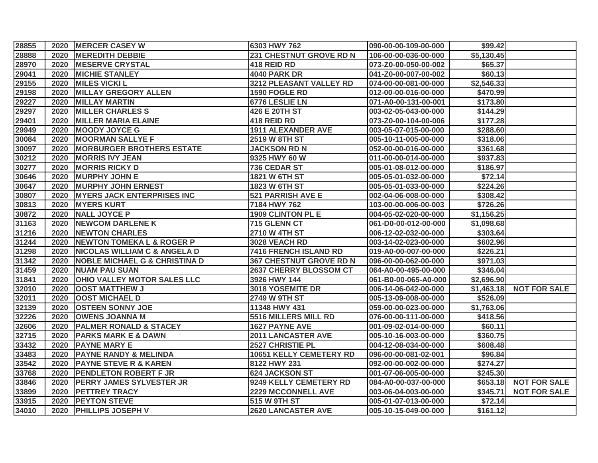| 28855 |      | 2020 MERCER CASEY W                      | 6303 HWY 762                   | 090-00-00-109-00-000 | \$99.42    |                         |
|-------|------|------------------------------------------|--------------------------------|----------------------|------------|-------------------------|
| 28888 | 2020 | <b>MEREDITH DEBBIE</b>                   | <b>231 CHESTNUT GROVE RD N</b> | 106-00-00-036-00-000 | \$5,130.45 |                         |
| 28970 | 2020 | <b>MESERVE CRYSTAL</b>                   | 418 REID RD                    | 073-Z0-00-050-00-002 | \$65.37    |                         |
| 29041 | 2020 | <b>MICHIE STANLEY</b>                    | <b>4040 PARK DR</b>            | 041-Z0-00-007-00-002 | \$60.13    |                         |
| 29155 | 2020 | <b>MILES VICKI L</b>                     | 3212 PLEASANT VALLEY RD        | 074-00-00-081-00-000 | \$2,546.33 |                         |
| 29198 | 2020 | <b>MILLAY GREGORY ALLEN</b>              | 1590 FOGLE RD                  | 012-00-00-016-00-000 | \$470.99   |                         |
| 29227 | 2020 | <b>MILLAY MARTIN</b>                     | 6776 LESLIE LN                 | 071-A0-00-131-00-001 | \$173.80   |                         |
| 29297 | 2020 | <b>MILLER CHARLES S</b>                  | 426 E 20TH ST                  | 003-02-05-043-00-000 | \$144.29   |                         |
| 29401 | 2020 | <b>MILLER MARIA ELAINE</b>               | 418 REID RD                    | 073-Z0-00-104-00-006 | \$177.28   |                         |
| 29949 | 2020 | <b>MOODY JOYCE G</b>                     | <b>1911 ALEXANDER AVE</b>      | 003-05-07-015-00-000 | \$288.60   |                         |
| 30084 | 2020 | <b>MOORMAN SALLYE F</b>                  | 2519 W 8TH ST                  | 005-10-11-005-00-000 | \$318.06   |                         |
| 30097 | 2020 | <b>MORBURGER BROTHERS ESTATE</b>         | <b>JACKSON RD N</b>            | 052-00-00-016-00-000 | \$361.68   |                         |
| 30212 | 2020 | <b>MORRIS IVY JEAN</b>                   | 9325 HWY 60 W                  | 011-00-00-014-00-000 | \$937.83   |                         |
| 30277 | 2020 | <b>MORRIS RICKY D</b>                    | 736 CEDAR ST                   | 005-01-08-012-00-000 | \$186.97   |                         |
| 30646 | 2020 | <b>MURPHY JOHN E</b>                     | 1821 W 6TH ST                  | 005-05-01-032-00-000 | \$72.14    |                         |
| 30647 | 2020 | <b>MURPHY JOHN ERNEST</b>                | 1823 W 6TH ST                  | 005-05-01-033-00-000 | \$224.26   |                         |
| 30807 | 2020 | <b>MYERS JACK ENTERPRISES INC</b>        | <b>521 PARRISH AVE E</b>       | 002-04-06-008-00-000 | \$308.42   |                         |
| 30813 | 2020 | <b>MYERS KURT</b>                        | 7184 HWY 762                   | 103-00-00-006-00-003 | \$726.26   |                         |
| 30872 | 2020 | <b>NALL JOYCE P</b>                      | 1909 CLINTON PL E              | 004-05-02-020-00-000 | \$1,156.25 |                         |
| 31163 | 2020 | <b>NEWCOM DARLENE K</b>                  | 715 GLENN CT                   | 061-D0-00-012-00-000 | \$1,098.68 |                         |
| 31216 | 2020 | <b>NEWTON CHARLES</b>                    | 2710 W 4TH ST                  | 006-12-02-032-00-000 | \$303.64   |                         |
| 31244 | 2020 | <b>NEWTON TOMEKA L &amp; ROGER P</b>     | 3028 VEACH RD                  | 003-14-02-023-00-000 | \$602.96   |                         |
| 31298 | 2020 | <b>NICOLAS WILLIAM C &amp; ANGELA D</b>  | 7416 FRENCH ISLAND RD          | 019-A0-00-007-00-000 | \$226.21   |                         |
| 31342 | 2020 | <b>NOBLE MICHAEL G &amp; CHRISTINA D</b> | 367 CHESTNUT GROVE RD N        | 096-00-00-062-00-000 | \$971.03   |                         |
| 31459 | 2020 | <b>NUAM PAU SUAN</b>                     | <b>2637 CHERRY BLOSSOM CT</b>  | 064-A0-00-495-00-000 | \$346.04   |                         |
| 31841 | 2020 | <b>OHIO VALLEY MOTOR SALES LLC</b>       | 3926 HWY 144                   | 061-B0-00-065-A0-000 | \$2,696.90 |                         |
| 32010 | 2020 | <b>OOST MATTHEW J</b>                    | 3018 YOSEMITE DR               | 006-14-06-042-00-000 |            | \$1,463.18 NOT FOR SALE |
| 32011 | 2020 | <b>OOST MICHAEL D</b>                    | 2749 W 9TH ST                  | 005-13-09-008-00-000 | \$526.09   |                         |
| 32139 | 2020 | <b>OSTEEN SONNY JOE</b>                  | 11348 HWY 431                  | 059-00-00-023-00-000 | \$1,763.06 |                         |
| 32226 | 2020 | <b>OWENS JOANNA M</b>                    | 5516 MILLERS MILL RD           | 076-00-00-111-00-000 | \$418.56   |                         |
| 32606 | 2020 | <b>PALMER RONALD &amp; STACEY</b>        | 1627 PAYNE AVE                 | 001-09-02-014-00-000 | \$60.11    |                         |
| 32715 | 2020 | <b>PARKS MARK E &amp; DAWN</b>           | <b>2011 LANCASTER AVE</b>      | 005-10-16-003-00-000 | \$360.75   |                         |
| 33432 |      | 2020 PAYNE MARY E                        | 2527 CHRISTIE PL               | 004-12-08-034-00-000 | \$608.48   |                         |
| 33483 | 2020 | <b>PAYNE RANDY &amp; MELINDA</b>         | <b>10651 KELLY CEMETERY RD</b> | 096-00-00-081-02-001 | \$96.84    |                         |
| 33542 | 2020 | <b>PAYNE STEVE R &amp; KAREN</b>         | 8122 HWY 231                   | 092-00-00-002-00-000 | \$274.27   |                         |
| 33768 | 2020 | <b>PENDLETON ROBERT F JR</b>             | <b>624 JACKSON ST</b>          | 001-07-06-005-00-000 | \$245.30   |                         |
| 33846 | 2020 | <b>PERRY JAMES SYLVESTER JR</b>          | 9249 KELLY CEMETERY RD         | 084-A0-00-037-00-000 | \$653.18   | <b>NOT FOR SALE</b>     |
| 33899 | 2020 | <b>PETTREY TRACY</b>                     | <b>2229 MCCONNELL AVE</b>      | 003-06-04-003-00-000 | \$345.71   | <b>NOT FOR SALE</b>     |
| 33915 | 2020 | <b>PEYTON STEVE</b>                      | 515 W 9TH ST                   | 005-01-07-013-00-000 | \$72.14    |                         |
| 34010 | 2020 | <b>PHILLIPS JOSEPH V</b>                 | <b>2620 LANCASTER AVE</b>      | 005-10-15-049-00-000 | \$161.12   |                         |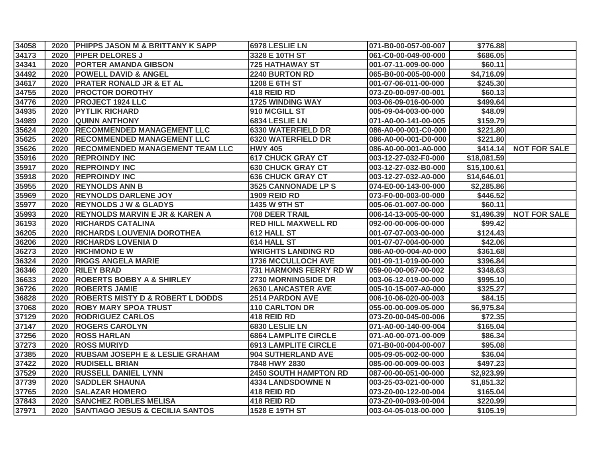| 34058 |      | 2020 PHIPPS JASON M & BRITTANY K SAPP       | 6978 LESLIE LN                | 071-B0-00-057-00-007 | \$776.88    |                     |
|-------|------|---------------------------------------------|-------------------------------|----------------------|-------------|---------------------|
| 34173 |      | 2020 PIPER DELORES J                        | 3328 E 10TH ST                | 061-C0-00-049-00-000 | \$686.05    |                     |
| 34341 | 2020 | <b>PORTER AMANDA GIBSON</b>                 | <b>725 HATHAWAY ST</b>        | 001-07-11-009-00-000 | \$60.11     |                     |
| 34492 | 2020 | <b>POWELL DAVID &amp; ANGEL</b>             | <b>2240 BURTON RD</b>         | 065-B0-00-005-00-000 | \$4,716.09  |                     |
| 34617 | 2020 | <b>PRATER RONALD JR &amp; ET AL</b>         | 1208 E 6TH ST                 | 001-07-06-011-00-000 | \$245.30    |                     |
| 34755 | 2020 | <b>PROCTOR DOROTHY</b>                      | 418 REID RD                   | 073-Z0-00-097-00-001 | \$60.13     |                     |
| 34776 | 2020 | <b>PROJECT 1924 LLC</b>                     | <b>1725 WINDING WAY</b>       | 003-06-09-016-00-000 | \$499.64    |                     |
| 34935 | 2020 | <b>PYTLIK RICHARD</b>                       | 910 MCGILL ST                 | 005-09-04-003-00-000 | \$48.09     |                     |
| 34989 | 2020 | <b>QUINN ANTHONY</b>                        | 6834 LESLIE LN                | 071-A0-00-141-00-005 | \$159.79    |                     |
| 35624 | 2020 | <b>RECOMMENDED MANAGEMENT LLC</b>           | <b>6330 WATERFIELD DR</b>     | 086-A0-00-001-C0-000 | \$221.80    |                     |
| 35625 | 2020 | <b>RECOMMENDED MANAGEMENT LLC</b>           | <b>6320 WATERFIELD DR</b>     | 086-A0-00-001-D0-000 | \$221.80    |                     |
| 35626 | 2020 | <b>RECOMMENDED MANAGEMENT TEAM LLC</b>      | <b>HWY 405</b>                | 086-A0-00-001-A0-000 | \$414.14]   | <b>NOT FOR SALE</b> |
| 35916 | 2020 | <b>REPROINDY INC</b>                        | <b>617 CHUCK GRAY CT</b>      | 003-12-27-032-F0-000 | \$18,081.59 |                     |
| 35917 | 2020 | <b>REPROINDY INC</b>                        | <b>630 CHUCK GRAY CT</b>      | 003-12-27-032-B0-000 | \$15,100.61 |                     |
| 35918 | 2020 | <b>REPROINDY INC</b>                        | <b>636 CHUCK GRAY CT</b>      | 003-12-27-032-A0-000 | \$14,646.01 |                     |
| 35955 | 2020 | <b>REYNOLDS ANN B</b>                       | <b>3525 CANNONADE LP S</b>    | 074-E0-00-143-00-000 | \$2,285.86  |                     |
| 35969 |      | 2020 REYNOLDS DARLENE JOY                   | <b>1909 REID RD</b>           | 073-F0-00-003-00-000 | \$446.52    |                     |
| 35977 | 2020 | <b>REYNOLDS J W &amp; GLADYS</b>            | 1435 W 9TH ST                 | 005-06-01-007-00-000 | \$60.11     |                     |
| 35993 | 2020 | <b>REYNOLDS MARVIN E JR &amp; KAREN A</b>   | 708 DEER TRAIL                | 006-14-13-005-00-000 | \$1,496.39  | <b>NOT FOR SALE</b> |
| 36193 | 2020 | <b>RICHARDS CATALINA</b>                    | <b>RED HILL MAXWELL RD</b>    | 092-00-00-006-00-000 | \$99.42     |                     |
| 36205 | 2020 | <b>RICHARDS LOUVENIA DOROTHEA</b>           | 612 HALL ST                   | 001-07-07-003-00-000 | \$124.43    |                     |
| 36206 | 2020 | <b>RICHARDS LOVENIA D</b>                   | <b>614 HALL ST</b>            | 001-07-07-004-00-000 | \$42.06     |                     |
| 36273 | 2020 | <b>RICHMOND E W</b>                         | <b>WRIGHTS LANDING RD</b>     | 086-A0-00-004-A0-000 | \$361.68    |                     |
| 36324 | 2020 | <b>RIGGS ANGELA MARIE</b>                   | <b>1736 MCCULLOCH AVE</b>     | 001-09-11-019-00-000 | \$396.84    |                     |
| 36346 | 2020 | <b>RILEY BRAD</b>                           | <b>731 HARMONS FERRY RD W</b> | 059-00-00-067-00-002 | \$348.63    |                     |
| 36633 | 2020 | <b>ROBERTS BOBBY A &amp; SHIRLEY</b>        | <b>2730 MORNINGSIDE DR</b>    | 003-06-12-019-00-000 | \$995.10    |                     |
| 36726 | 2020 | <b>ROBERTS JAMIE</b>                        | <b>2630 LANCASTER AVE</b>     | 005-10-15-007-A0-000 | \$325.27    |                     |
| 36828 | 2020 | <b>ROBERTS MISTY D &amp; ROBERT L DODDS</b> | 2514 PARDON AVE               | 006-10-06-020-00-003 | \$84.15     |                     |
| 37068 | 2020 | <b>ROBY MARY SPOA TRUST</b>                 | <b>110 CARLTON DR</b>         | 055-00-00-009-05-000 | \$6,975.84  |                     |
| 37129 | 2020 | <b>RODRIGUEZ CARLOS</b>                     | 418 REID RD                   | 073-Z0-00-045-00-006 | \$72.35     |                     |
| 37147 | 2020 | <b>ROGERS CAROLYN</b>                       | 6830 LESLIE LN                | 071-A0-00-140-00-004 | \$165.04    |                     |
| 37256 | 2020 | <b>ROSS HARLAN</b>                          | <b>6864 LAMPLITE CIRCLE</b>   | 071-A0-00-071-00-009 | \$86.34     |                     |
| 37273 | 2020 | <b>ROSS MURIYD</b>                          | <b>6913 LAMPLITE CIRCLE</b>   | 071-B0-00-004-00-007 | \$95.08     |                     |
| 37385 | 2020 | <b>RUBSAM JOSEPH E &amp; LESLIE GRAHAM</b>  | <b>904 SUTHERLAND AVE</b>     | 005-09-05-002-00-000 | \$36.04     |                     |
| 37422 | 2020 | <b>RUDISELL BRIAN</b>                       | 7848 HWY 2830                 | 085-00-00-009-00-003 | \$497.23    |                     |
| 37529 | 2020 | <b>RUSSELL DANIEL LYNN</b>                  | <b>2450 SOUTH HAMPTON RD</b>  | 087-00-00-051-00-000 | \$2,923.99  |                     |
| 37739 | 2020 | <b>SADDLER SHAUNA</b>                       | <b>4334 LANDSDOWNE N</b>      | 003-25-03-021-00-000 | \$1,851.32  |                     |
| 37765 | 2020 | <b>SALAZAR HOMERO</b>                       | 418 REID RD                   | 073-Z0-00-122-00-004 | \$165.04    |                     |
| 37843 | 2020 | <b>SANCHEZ ROBLES MELISA</b>                | 418 REID RD                   | 073-Z0-00-093-00-004 | \$220.99    |                     |
| 37971 |      | 2020 SANTIAGO JESUS & CECILIA SANTOS        | 1528 E 19TH ST                | 003-04-05-018-00-000 | \$105.19    |                     |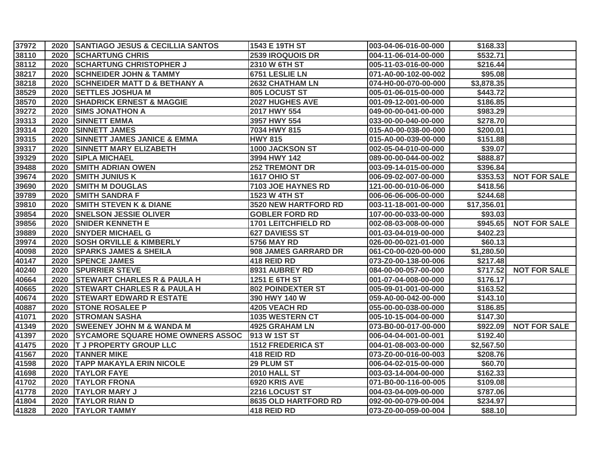| 37972 |      | 2020 SANTIAGO JESUS & CECILLIA SANTOS    | 1543 E 19TH ST             | 003-04-06-016-00-000 | \$168.33    |                     |
|-------|------|------------------------------------------|----------------------------|----------------------|-------------|---------------------|
| 38110 |      | 2020 SCHARTUNG CHRIS                     | 2539 IROQUOIS DR           | 004-11-06-014-00-000 | \$532.71    |                     |
| 38112 | 2020 | <b>SCHARTUNG CHRISTOPHER J</b>           | 2310 W 6TH ST              | 005-11-03-016-00-000 | \$216.44    |                     |
| 38217 | 2020 | <b>SCHNEIDER JOHN &amp; TAMMY</b>        | 6751 LESLIE LN             | 071-A0-00-102-00-002 | \$95.08     |                     |
| 38218 | 2020 | <b>SCHNEIDER MATT D &amp; BETHANY A</b>  | <b>2632 CHATHAM LN</b>     | 074-H0-00-070-00-000 | \$3,878.35  |                     |
| 38529 | 2020 | <b>SETTLES JOSHUA M</b>                  | 805 LOCUST ST              | 005-01-06-015-00-000 | \$443.72    |                     |
| 38570 | 2020 | <b>SHADRICK ERNEST &amp; MAGGIE</b>      | 2027 HUGHES AVE            | 001-09-12-001-00-000 | \$186.85    |                     |
| 39272 | 2020 | <b>SIMS JONATHON A</b>                   | 2017 HWY 554               | 049-00-00-041-00-000 | \$983.29    |                     |
| 39313 | 2020 | <b>SINNETT EMMA</b>                      | 3957 HWY 554               | 033-00-00-040-00-000 | \$278.70    |                     |
| 39314 | 2020 | <b>SINNETT JAMES</b>                     | 7034 HWY 815               | 015-A0-00-038-00-000 | \$200.01    |                     |
| 39315 | 2020 | <b>SINNETT JAMES JANICE &amp; EMMA</b>   | <b>HWY 815</b>             | 015-A0-00-039-00-000 | \$151.88    |                     |
| 39317 | 2020 | <b>SINNETT MARY ELIZABETH</b>            | 1000 JACKSON ST            | 002-05-04-010-00-000 | \$39.07     |                     |
| 39329 | 2020 | <b>SIPLA MICHAEL</b>                     | 3994 HWY 142               | 089-00-00-044-00-002 | \$888.87    |                     |
| 39488 | 2020 | <b>SMITH ADRIAN OWEN</b>                 | <b>252 TREMONT DR</b>      | 003-09-14-015-00-000 | \$396.84    |                     |
| 39674 | 2020 | <b>SMITH JUNIUS K</b>                    | <b>1617 OHIO ST</b>        | 006-09-02-007-00-000 | \$353.53    | <b>NOT FOR SALE</b> |
| 39690 | 2020 | <b>SMITH M DOUGLAS</b>                   | 7103 JOE HAYNES RD         | 121-00-00-010-06-000 | \$418.56    |                     |
| 39789 | 2020 | <b>SMITH SANDRA F</b>                    | 1523 W 4TH ST              | 006-06-06-006-00-000 | \$244.68    |                     |
| 39810 | 2020 | <b>SMITH STEVEN K &amp; DIANE</b>        | 3520 NEW HARTFORD RD       | 003-11-18-001-00-000 | \$17,356.01 |                     |
| 39854 | 2020 | <b>SNELSON JESSIE OLIVER</b>             | <b>GOBLER FORD RD</b>      | 107-00-00-033-00-000 | \$93.03     |                     |
| 39856 | 2020 | <b>SNIDER KENNETH E</b>                  | <b>1701 LEITCHFIELD RD</b> | 002-08-03-008-00-000 | \$945.65    | <b>NOT FOR SALE</b> |
| 39889 | 2020 | <b>SNYDER MICHAEL G</b>                  | <b>627 DAVIESS ST</b>      | 001-03-04-019-00-000 | \$402.23    |                     |
| 39974 | 2020 | <b>SOSH ORVILLE &amp; KIMBERLY</b>       | <b>5756 MAY RD</b>         | 026-00-00-021-01-000 | \$60.13     |                     |
| 40098 | 2020 | <b>SPARKS JAMES &amp; SHEILA</b>         | 908 JAMES GARRARD DR       | 061-C0-00-020-00-000 | \$1,280.50  |                     |
| 40147 | 2020 | <b>SPENCE JAMES</b>                      | 418 REID RD                | 073-Z0-00-138-00-006 | \$217.48    |                     |
| 40240 | 2020 | <b>SPURRIER STEVE</b>                    | 8931 AUBREY RD             | 084-00-00-057-00-000 | \$717.52    | <b>NOT FOR SALE</b> |
| 40664 | 2020 | <b>STEWART CHARLES R &amp; PAULA H</b>   | 1251 E 6TH ST              | 001-07-04-008-00-000 | \$176.17    |                     |
| 40665 | 2020 | <b>STEWART CHARLES R &amp; PAULA H</b>   | <b>802 POINDEXTER ST</b>   | 005-09-01-001-00-000 | \$163.52    |                     |
| 40674 | 2020 | <b>STEWART EDWARD R ESTATE</b>           | 390 HWY 140 W              | 059-A0-00-042-00-000 | \$143.10    |                     |
| 40887 | 2020 | <b>STONE ROSALEE P</b>                   | 4205 VEACH RD              | 055-00-00-038-00-000 | \$186.85    |                     |
| 41071 | 2020 | <b>STROMAN SASHA</b>                     | <b>1035 WESTERN CT</b>     | 005-10-15-004-00-000 | \$147.30    |                     |
| 41349 | 2020 | <b>SWEENEY JOHN M &amp; WANDA M</b>      | <b>4925 GRAHAM LN</b>      | 073-B0-00-017-00-000 | \$922.09    | <b>NOT FOR SALE</b> |
| 41397 | 2020 | <b>SYCAMORE SQUARE HOME OWNERS ASSOC</b> | 913 W 1ST ST               | 006-04-04-001-00-001 | \$192.40    |                     |
| 41475 |      | 2020 T J PROPERTY GROUP LLC              | <b>1512 FREDERICA ST</b>   | 004-01-08-003-00-000 | \$2,567.50  |                     |
| 41567 | 2020 | <b>TANNER MIKE</b>                       | 418 REID RD                | 073-Z0-00-016-00-003 | \$208.76    |                     |
| 41598 | 2020 | <b>TAPP MAKAYLA ERIN NICOLE</b>          | <b>29 PLUM ST</b>          | 006-04-02-015-00-000 | \$60.70     |                     |
| 41698 | 2020 | <b>TAYLOR FAYE</b>                       | <b>2010 HALL ST</b>        | 003-03-14-004-00-000 | \$162.33    |                     |
| 41702 | 2020 | <b>TAYLOR FRONA</b>                      | 6920 KRIS AVE              | 071-B0-00-116-00-005 | \$109.08    |                     |
| 41778 | 2020 | <b>TAYLOR MARY J</b>                     | 2216 LOCUST ST             | 004-03-04-009-00-000 | \$787.06    |                     |
| 41804 | 2020 | <b>TAYLOR RIAN D</b>                     | 8635 OLD HARTFORD RD       | 092-00-00-079-00-004 | \$234.97    |                     |
| 41828 | 2020 | <b>TAYLOR TAMMY</b>                      | 418 REID RD                | 073-Z0-00-059-00-004 | \$88.10     |                     |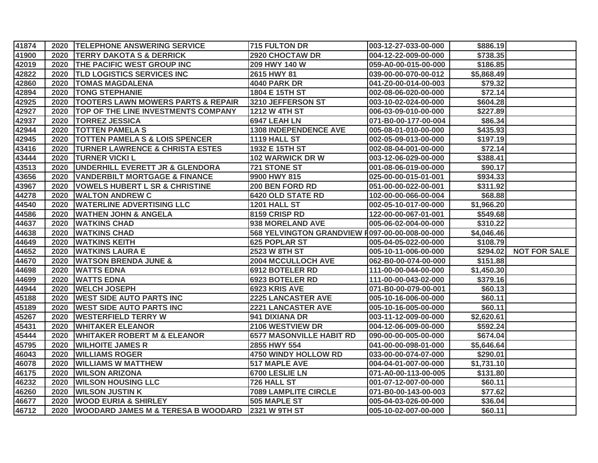| 41874 |      | 2020 TELEPHONE ANSWERING SERVICE              | <b>715 FULTON DR</b>            | 003-12-27-033-00-000  | \$886.19   |                     |
|-------|------|-----------------------------------------------|---------------------------------|-----------------------|------------|---------------------|
| 41900 | 2020 | <b>TERRY DAKOTA S &amp; DERRICK</b>           | 2920 CHOCTAW DR                 | 004-12-22-009-00-000  | \$738.35   |                     |
| 42019 | 2020 | <b>THE PACIFIC WEST GROUP INC</b>             | 209 HWY 140 W                   | 059-A0-00-015-00-000  | \$186.85   |                     |
| 42822 | 2020 | <b>TLD LOGISTICS SERVICES INC</b>             | 2615 HWY 81                     | 039-00-00-070-00-012  | \$5,868.49 |                     |
| 42860 | 2020 | <b>TOMAS MAGDALENA</b>                        | <b>4040 PARK DR</b>             | 041-Z0-00-014-00-003  | \$79.32    |                     |
| 42894 | 2020 | <b>TONG STEPHANIE</b>                         | 1804 E 15TH ST                  | 002-08-06-020-00-000  | \$72.14    |                     |
| 42925 | 2020 | <b>TOOTERS LAWN MOWERS PARTS &amp; REPAIR</b> | 3210 JEFFERSON ST               | 003-10-02-024-00-000  | \$604.28   |                     |
| 42927 | 2020 | <b>TOP OF THE LINE INVESTMENTS COMPANY</b>    | 1212 W 4TH ST                   | 006-03-09-010-00-000  | \$227.89   |                     |
| 42937 | 2020 | <b>TORREZ JESSICA</b>                         | 6947 LEAH LN                    | 071-B0-00-177-00-004  | \$86.34    |                     |
| 42944 | 2020 | <b>TOTTEN PAMELA S</b>                        | <b>1308 INDEPENDENCE AVE</b>    | 005-08-01-010-00-000  | \$435.93   |                     |
| 42945 | 2020 | <b>TOTTEN PAMELA S &amp; LOIS SPENCER</b>     | 1119 HALL ST                    | 002-05-09-013-00-000  | \$197.19   |                     |
| 43416 | 2020 | <b>TURNER LAWRENCE &amp; CHRISTA ESTES</b>    | 1932 E 15TH ST                  | 002-08-04-001-00-000  | \$72.14    |                     |
| 43444 | 2020 | <b>TURNER VICKI L</b>                         | <b>102 WARWICK DR W</b>         | 003-12-06-029-00-000  | \$388.41   |                     |
| 43513 | 2020 | <b>UNDERHILL EVERETT JR &amp; GLENDORA</b>    | <b>721 STONE ST</b>             | 001-08-06-019-00-000  | \$90.17    |                     |
| 43656 | 2020 | <b>VANDERBILT MORTGAGE &amp; FINANCE</b>      | 9900 HWY 815                    | 025-00-00-015-01-001  | \$934.33   |                     |
| 43967 | 2020 | <b>VOWELS HUBERT L SR &amp; CHRISTINE</b>     | 200 BEN FORD RD                 | 051-00-00-022-00-001  | \$311.92   |                     |
| 44278 | 2020 | <b>WALTON ANDREW C</b>                        | <b>6420 OLD STATE RD</b>        | 102-00-00-066-00-004  | \$68.88    |                     |
| 44540 | 2020 | <b>WATERLINE ADVERTISING LLC</b>              | <b>1201 HALL ST</b>             | 002-05-10-017-00-000  | \$1,966.20 |                     |
| 44586 | 2020 | <b>WATHEN JOHN &amp; ANGELA</b>               | 8159 CRISP RD                   | 122-00-00-067-01-001  | \$549.68   |                     |
| 44637 | 2020 | <b>WATKINS CHAD</b>                           | 938 MORELAND AVE                | 005-06-02-004-00-000  | \$310.22   |                     |
| 44638 | 2020 | <b>WATKINS CHAD</b>                           | <b>568 YELVINGTON GRANDVIEW</b> | F097-00-00-008-00-000 | \$4,046.46 |                     |
| 44649 | 2020 | <b>WATKINS KEITH</b>                          | <b>625 POPLAR ST</b>            | 005-04-05-022-00-000  | \$108.79   |                     |
| 44652 | 2020 | <b>WATKINS LAURA E</b>                        | 2523 W 8TH ST                   | 005-10-11-006-00-000  | \$294.02   | <b>NOT FOR SALE</b> |
| 44670 | 2020 | <b>WATSON BRENDA JUNE &amp;</b>               | <b>2004 MCCULLOCH AVE</b>       | 062-B0-00-074-00-000  | \$151.88   |                     |
| 44698 | 2020 | <b>WATTS EDNA</b>                             | 6912 BOTELER RD                 | 111-00-00-044-00-000  | \$1,450.30 |                     |
| 44699 | 2020 | <b>WATTS EDNA</b>                             | 6923 BOTELER RD                 | 111-00-00-043-02-000  | \$379.16   |                     |
| 44944 | 2020 | <b>WELCH JOSEPH</b>                           | 6923 KRIS AVE                   | 071-B0-00-079-00-001  | \$60.13    |                     |
| 45188 | 2020 | <b>WEST SIDE AUTO PARTS INC</b>               | <b>2225 LANCASTER AVE</b>       | 005-10-16-006-00-000  | \$60.11    |                     |
| 45189 | 2020 | <b>WEST SIDE AUTO PARTS INC</b>               | <b>2221 LANCASTER AVE</b>       | 005-10-16-005-00-000  | \$60.11    |                     |
| 45267 | 2020 | <b>WESTERFIELD TERRY W</b>                    | 941 DIXIANA DR                  | 003-11-12-009-00-000  | \$2,620.61 |                     |
| 45431 | 2020 | <b>WHITAKER ELEANOR</b>                       | 2106 WESTVIEW DR                | 004-12-06-009-00-000  | \$592.24   |                     |
| 45444 | 2020 | <b>WHITAKER ROBERT M &amp; ELEANOR</b>        | <b>6577 MASONVILLE HABIT RD</b> | 090-00-00-005-00-000  | \$674.04   |                     |
| 45795 | 2020 | <b>WILHOITE JAMES R</b>                       | 2855 HWY 554                    | 041-00-00-098-01-000  | \$5,646.64 |                     |
| 46043 | 2020 | <b>WILLIAMS ROGER</b>                         | 4750 WINDY HOLLOW RD            | 033-00-00-074-07-000  | \$290.01   |                     |
| 46078 | 2020 | <b>WILLIAMS W MATTHEW</b>                     | <b>517 MAPLE AVE</b>            | 004-04-01-007-00-000  | \$1,731.10 |                     |
| 46175 | 2020 | <b>WILSON ARIZONA</b>                         | 6700 LESLIE LN                  | 071-A0-00-113-00-005  | \$131.80   |                     |
| 46232 | 2020 | <b>WILSON HOUSING LLC</b>                     | 726 HALL ST                     | 001-07-12-007-00-000  | \$60.11    |                     |
| 46260 | 2020 | <b>WILSON JUSTIN K</b>                        | <b>7089 LAMPLITE CIRCLE</b>     | 071-B0-00-143-00-003  | \$77.62    |                     |
| 46677 | 2020 | <b>WOOD EURIA &amp; SHIRLEY</b>               | 505 MAPLE ST                    | 005-04-03-026-00-000  | \$36.04    |                     |
| 46712 | 2020 | <b>WOODARD JAMES M &amp; TERESA B WOODARD</b> | 2321 W 9TH ST                   | 005-10-02-007-00-000  | \$60.11    |                     |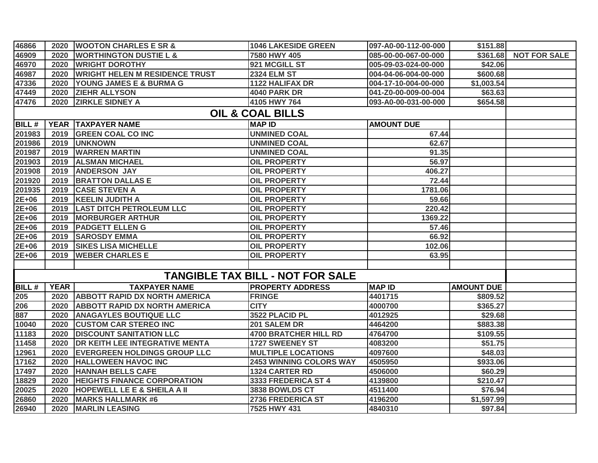| 46866                       | 2020        | <b>WOOTON CHARLES E SR &amp;</b>       | <b>1046 LAKESIDE GREEN</b>              | 097-A0-00-112-00-000 | \$151.88          |                     |  |  |  |
|-----------------------------|-------------|----------------------------------------|-----------------------------------------|----------------------|-------------------|---------------------|--|--|--|
| 46909                       | 2020        | <b>WORTHINGTON DUSTIE L &amp;</b>      | 7580 HWY 405                            | 085-00-00-067-00-000 | \$361.68          | <b>NOT FOR SALE</b> |  |  |  |
| 46970                       | 2020        | <b>WRIGHT DOROTHY</b>                  | 921 MCGILL ST                           | 005-09-03-024-00-000 | \$42.06           |                     |  |  |  |
| 46987                       | 2020        | <b>WRIGHT HELEN M RESIDENCE TRUST</b>  | <b>2324 ELM ST</b>                      | 004-04-06-004-00-000 | \$600.68          |                     |  |  |  |
| 47336                       | 2020        | YOUNG JAMES E & BURMA G                | <b>1122 HALIFAX DR</b>                  | 004-17-10-004-00-000 | \$1,003.54        |                     |  |  |  |
| 47449                       | 2020        | <b>ZIEHR ALLYSON</b>                   | 4040 PARK DR                            | 041-Z0-00-009-00-004 | \$63.63           |                     |  |  |  |
| 47476                       | 2020        | <b>ZIRKLE SIDNEY A</b>                 | 4105 HWY 764                            | 093-A0-00-031-00-000 | \$654.58          |                     |  |  |  |
| <b>OIL &amp; COAL BILLS</b> |             |                                        |                                         |                      |                   |                     |  |  |  |
| $BILL$ #                    |             | YEAR   TAXPAYER NAME                   | <b>MAP ID</b>                           | <b>AMOUNT DUE</b>    |                   |                     |  |  |  |
| 201983                      | 2019        | <b>GREEN COAL CO INC</b>               | <b>UNMINED COAL</b>                     | 67.44                |                   |                     |  |  |  |
| 201986                      | 2019        | <b>UNKNOWN</b>                         | <b>UNMINED COAL</b>                     | 62.67                |                   |                     |  |  |  |
| 201987                      | 2019        | <b>WARREN MARTIN</b>                   | <b>UNMINED COAL</b>                     | 91.35                |                   |                     |  |  |  |
| 201903                      | 2019        | <b>ALSMAN MICHAEL</b>                  | <b>OIL PROPERTY</b>                     | 56.97                |                   |                     |  |  |  |
| 201908                      | 2019        | <b>ANDERSON JAY</b>                    | <b>OIL PROPERTY</b>                     | 406.27               |                   |                     |  |  |  |
| 201920                      | 2019        | <b>BRATTON DALLAS E</b>                | <b>OIL PROPERTY</b>                     | 72.44                |                   |                     |  |  |  |
| 201935                      | 2019        | <b>CASE STEVEN A</b>                   | <b>OIL PROPERTY</b>                     | 1781.06              |                   |                     |  |  |  |
| $2E+06$                     | 2019        | <b>KEELIN JUDITH A</b>                 | <b>OIL PROPERTY</b>                     | 59.66                |                   |                     |  |  |  |
| $2E+06$                     | 2019        | <b>LAST DITCH PETROLEUM LLC</b>        | <b>OIL PROPERTY</b>                     | 220.42               |                   |                     |  |  |  |
| $2E+06$                     | 2019        | <b>MORBURGER ARTHUR</b>                | <b>OIL PROPERTY</b>                     | 1369.22              |                   |                     |  |  |  |
| 2E+06                       | 2019        | <b>PADGETT ELLEN G</b>                 | <b>OIL PROPERTY</b>                     | 57.46                |                   |                     |  |  |  |
| 2E+06                       | 2019        | <b>SAROSDY EMMA</b>                    | <b>OIL PROPERTY</b>                     | 66.92                |                   |                     |  |  |  |
| 2E+06                       | 2019        | <b>SIKES LISA MICHELLE</b>             | <b>OIL PROPERTY</b>                     | 102.06               |                   |                     |  |  |  |
| $2E+06$                     | 2019        | <b>WEBER CHARLES E</b>                 | <b>OIL PROPERTY</b>                     | 63.95                |                   |                     |  |  |  |
|                             |             |                                        |                                         |                      |                   |                     |  |  |  |
|                             |             |                                        | <b>TANGIBLE TAX BILL - NOT FOR SALE</b> |                      |                   |                     |  |  |  |
| <b>BILL#</b>                | <b>YEAR</b> | <b>TAXPAYER NAME</b>                   | <b>PROPERTY ADDRESS</b>                 | <b>MAP ID</b>        | <b>AMOUNT DUE</b> |                     |  |  |  |
| 205                         | 2020        | <b>ABBOTT RAPID DX NORTH AMERICA</b>   | <b>FRINGE</b>                           | 4401715              | \$809.52          |                     |  |  |  |
| 206<br>887                  | 2020        | <b>ABBOTT RAPID DX NORTH AMERICA</b>   | <b>CITY</b>                             | 4000700              | \$365.27          |                     |  |  |  |
|                             | 2020        | <b>ANAGAYLES BOUTIQUE LLC</b>          | 3522 PLACID PL                          | 4012925              | \$29.68           |                     |  |  |  |
| 10040                       | 2020        | <b>CUSTOM CAR STEREO INC</b>           | 201 SALEM DR                            | 4464200              | \$883.38          |                     |  |  |  |
| 11183                       | 2020        | <b>DISCOUNT SANITATION LLC</b>         | <b>4700 BRATCHER HILL RD</b>            | 4764700              | \$109.55          |                     |  |  |  |
| 11458                       | 2020        | <b>DR KEITH LEE INTEGRATIVE MENTA</b>  | <b>1727 SWEENEY ST</b>                  | 4083200              | \$51.75           |                     |  |  |  |
| 12961                       | 2020        | <b>EVERGREEN HOLDINGS GROUP LLC</b>    | <b>MULTIPLE LOCATIONS</b>               | 4097600              | \$48.03           |                     |  |  |  |
| 17162                       | 2020        | <b>HALLOWEEN HAVOC INC</b>             | <b>2453 WINNING COLORS WAY</b>          | 4505950              | \$933.06          |                     |  |  |  |
| 17497                       | 2020        | <b>HANNAH BELLS CAFE</b>               | <b>1324 CARTER RD</b>                   | 4506000              | \$60.29           |                     |  |  |  |
| 18829                       | 2020        | <b>HEIGHTS FINANCE CORPORATION</b>     | 3333 FREDERICA ST 4                     | 4139800              | \$210.47          |                     |  |  |  |
| 20025                       | 2020        | <b>HOPEWELL LE E &amp; SHEILA A II</b> | 3838 BOWLDS CT                          | 4511400              | \$76.94           |                     |  |  |  |
| 26860                       | 2020        | <b>MARKS HALLMARK #6</b>               | 2736 FREDERICA ST                       | 4196200              | \$1,597.99        |                     |  |  |  |
| 26940                       | 2020        | <b>MARLIN LEASING</b>                  | 7525 HWY 431                            | 4840310              | \$97.84           |                     |  |  |  |